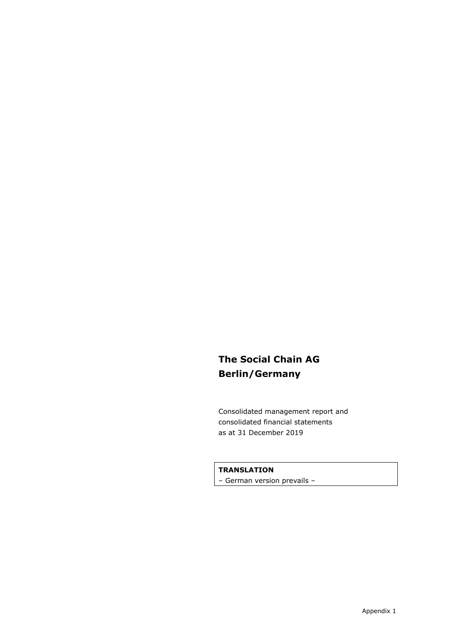# **The Social Chain AG Berlin/Germany**

Consolidated management report and consolidated financial statements as at 31 December 2019

#### **TRANSLATION**

– German version prevails –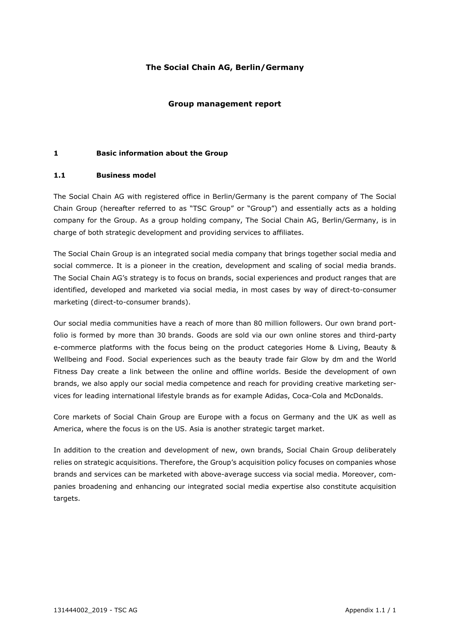#### **The Social Chain AG, Berlin/Germany**

#### **Group management report**

#### **1 Basic information about the Group**

#### **1.1 Business model**

The Social Chain AG with registered office in Berlin/Germany is the parent company of The Social Chain Group (hereafter referred to as "TSC Group" or "Group") and essentially acts as a holding company for the Group. As a group holding company, The Social Chain AG, Berlin/Germany, is in charge of both strategic development and providing services to affiliates.

The Social Chain Group is an integrated social media company that brings together social media and social commerce. It is a pioneer in the creation, development and scaling of social media brands. The Social Chain AG's strategy is to focus on brands, social experiences and product ranges that are identified, developed and marketed via social media, in most cases by way of direct-to-consumer marketing (direct-to-consumer brands).

Our social media communities have a reach of more than 80 million followers. Our own brand portfolio is formed by more than 30 brands. Goods are sold via our own online stores and third-party e-commerce platforms with the focus being on the product categories Home & Living, Beauty & Wellbeing and Food. Social experiences such as the beauty trade fair Glow by dm and the World Fitness Day create a link between the online and offline worlds. Beside the development of own brands, we also apply our social media competence and reach for providing creative marketing services for leading international lifestyle brands as for example Adidas, Coca-Cola and McDonalds.

Core markets of Social Chain Group are Europe with a focus on Germany and the UK as well as America, where the focus is on the US. Asia is another strategic target market.

In addition to the creation and development of new, own brands, Social Chain Group deliberately relies on strategic acquisitions. Therefore, the Group's acquisition policy focuses on companies whose brands and services can be marketed with above-average success via social media. Moreover, companies broadening and enhancing our integrated social media expertise also constitute acquisition targets.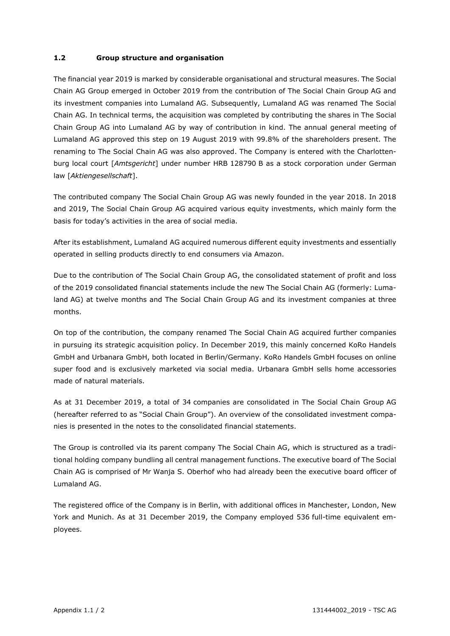#### **1.2 Group structure and organisation**

The financial year 2019 is marked by considerable organisational and structural measures. The Social Chain AG Group emerged in October 2019 from the contribution of The Social Chain Group AG and its investment companies into Lumaland AG. Subsequently, Lumaland AG was renamed The Social Chain AG. In technical terms, the acquisition was completed by contributing the shares in The Social Chain Group AG into Lumaland AG by way of contribution in kind. The annual general meeting of Lumaland AG approved this step on 19 August 2019 with 99.8% of the shareholders present. The renaming to The Social Chain AG was also approved. The Company is entered with the Charlottenburg local court [*Amtsgericht*] under number HRB 128790 B as a stock corporation under German law [*Aktiengesellschaft*].

The contributed company The Social Chain Group AG was newly founded in the year 2018. In 2018 and 2019, The Social Chain Group AG acquired various equity investments, which mainly form the basis for today's activities in the area of social media.

After its establishment, Lumaland AG acquired numerous different equity investments and essentially operated in selling products directly to end consumers via Amazon.

Due to the contribution of The Social Chain Group AG, the consolidated statement of profit and loss of the 2019 consolidated financial statements include the new The Social Chain AG (formerly: Lumaland AG) at twelve months and The Social Chain Group AG and its investment companies at three months.

On top of the contribution, the company renamed The Social Chain AG acquired further companies in pursuing its strategic acquisition policy. In December 2019, this mainly concerned KoRo Handels GmbH and Urbanara GmbH, both located in Berlin/Germany. KoRo Handels GmbH focuses on online super food and is exclusively marketed via social media. Urbanara GmbH sells home accessories made of natural materials.

As at 31 December 2019, a total of 34 companies are consolidated in The Social Chain Group AG (hereafter referred to as "Social Chain Group"). An overview of the consolidated investment companies is presented in the notes to the consolidated financial statements.

The Group is controlled via its parent company The Social Chain AG, which is structured as a traditional holding company bundling all central management functions. The executive board of The Social Chain AG is comprised of Mr Wanja S. Oberhof who had already been the executive board officer of Lumaland AG.

The registered office of the Company is in Berlin, with additional offices in Manchester, London, New York and Munich. As at 31 December 2019, the Company employed 536 full-time equivalent employees.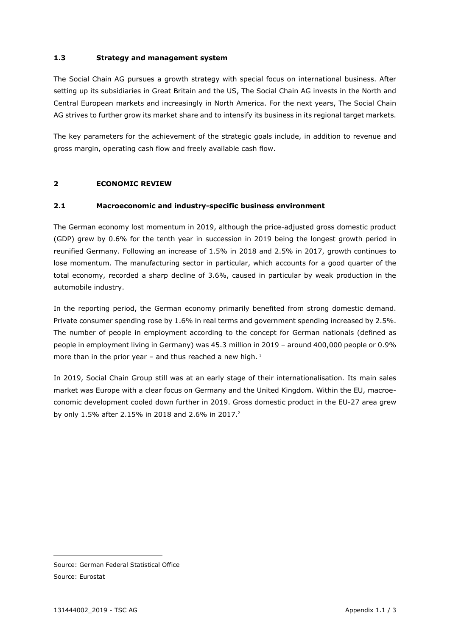#### **1.3 Strategy and management system**

The Social Chain AG pursues a growth strategy with special focus on international business. After setting up its subsidiaries in Great Britain and the US, The Social Chain AG invests in the North and Central European markets and increasingly in North America. For the next years, The Social Chain AG strives to further grow its market share and to intensify its business in its regional target markets.

The key parameters for the achievement of the strategic goals include, in addition to revenue and gross margin, operating cash flow and freely available cash flow.

#### **2 ECONOMIC REVIEW**

#### **2.1 Macroeconomic and industry-specific business environment**

The German economy lost momentum in 2019, although the price-adjusted gross domestic product (GDP) grew by 0.6% for the tenth year in succession in 2019 being the longest growth period in reunified Germany. Following an increase of 1.5% in 2018 and 2.5% in 2017, growth continues to lose momentum. The manufacturing sector in particular, which accounts for a good quarter of the total economy, recorded a sharp decline of 3.6%, caused in particular by weak production in the automobile industry.

In the reporting period, the German economy primarily benefited from strong domestic demand. Private consumer spending rose by 1.6% in real terms and government spending increased by 2.5%. The number of people in employment according to the concept for German nationals (defined as people in employment living in Germany) was 45.3 million in 2019 – around 400,000 people or 0.9% more than in the prior year – and thus reached a new high.<sup>1</sup>

In 2019, Social Chain Group still was at an early stage of their internationalisation. Its main sales market was Europe with a clear focus on Germany and the United Kingdom. Within the EU, macroeconomic development cooled down further in 2019. Gross domestic product in the EU-27 area grew by only 1.5% after 2.15% in 2018 and 2.6% in 2017.<sup>2</sup>

Source: German Federal Statistical Office Source: Eurostat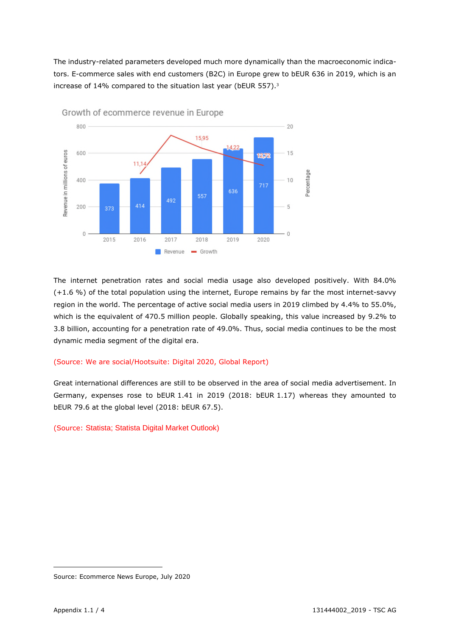The industry-related parameters developed much more dynamically than the macroeconomic indicators. E-commerce sales with end customers (B2C) in Europe grew to bEUR 636 in 2019, which is an increase of 14% compared to the situation last year (bEUR 557).<sup>3</sup>



The internet penetration rates and social media usage also developed positively. With 84.0% (+1.6 %) of the total population using the internet, Europe remains by far the most internet-savvy region in the world. The percentage of active social media users in 2019 climbed by 4.4% to 55.0%, which is the equivalent of 470.5 million people. Globally speaking, this value increased by 9.2% to 3.8 billion, accounting for a penetration rate of 49.0%. Thus, social media continues to be the most dynamic media segment of the digital era.

#### (Source: We are social/Hootsuite: Digital 2020, Global Report)

Great international differences are still to be observed in the area of social media advertisement. In Germany, expenses rose to bEUR 1.41 in 2019 (2018: bEUR 1.17) whereas they amounted to bEUR 79.6 at the global level (2018: bEUR 67.5).

(Source: Statista; Statista Digital Market Outlook)

Source: Ecommerce News Europe, July 2020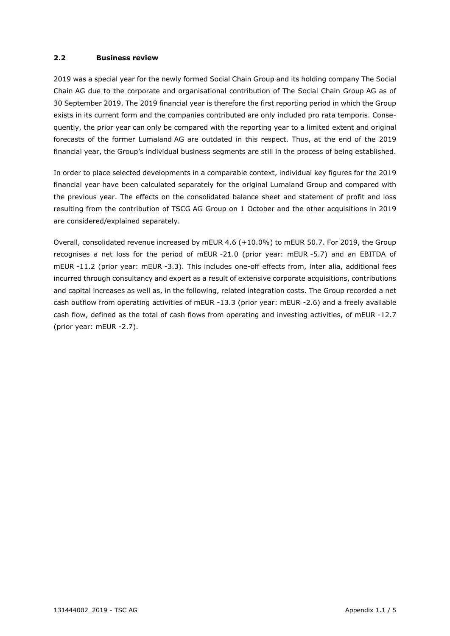#### **2.2 Business review**

2019 was a special year for the newly formed Social Chain Group and its holding company The Social Chain AG due to the corporate and organisational contribution of The Social Chain Group AG as of 30 September 2019. The 2019 financial year is therefore the first reporting period in which the Group exists in its current form and the companies contributed are only included pro rata temporis. Consequently, the prior year can only be compared with the reporting year to a limited extent and original forecasts of the former Lumaland AG are outdated in this respect. Thus, at the end of the 2019 financial year, the Group's individual business segments are still in the process of being established.

In order to place selected developments in a comparable context, individual key figures for the 2019 financial year have been calculated separately for the original Lumaland Group and compared with the previous year. The effects on the consolidated balance sheet and statement of profit and loss resulting from the contribution of TSCG AG Group on 1 October and the other acquisitions in 2019 are considered/explained separately.

Overall, consolidated revenue increased by mEUR 4.6 (+10.0%) to mEUR 50.7. For 2019, the Group recognises a net loss for the period of mEUR -21.0 (prior year: mEUR -5.7) and an EBITDA of mEUR -11.2 (prior year: mEUR -3.3). This includes one-off effects from, inter alia, additional fees incurred through consultancy and expert as a result of extensive corporate acquisitions, contributions and capital increases as well as, in the following, related integration costs. The Group recorded a net cash outflow from operating activities of mEUR -13.3 (prior year: mEUR -2.6) and a freely available cash flow, defined as the total of cash flows from operating and investing activities, of mEUR -12.7 (prior year: mEUR -2.7).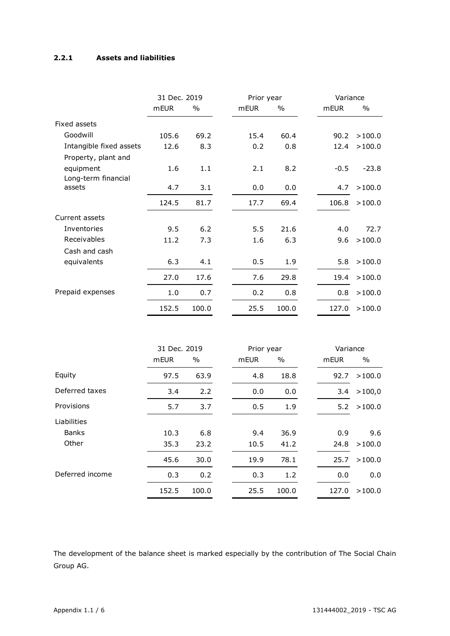#### **2.2.1 Assets and liabilities**

|                         | 31 Dec. 2019 |               | Prior year |            |       | Variance |          |         |
|-------------------------|--------------|---------------|------------|------------|-------|----------|----------|---------|
|                         | mEUR         | $\%$          |            | mEUR       | $\%$  |          | mEUR     | $\%$    |
| Fixed assets            |              |               |            |            |       |          |          |         |
| Goodwill                | 105.6        | 69.2          |            | 15.4       | 60.4  |          | 90.2     | >100.0  |
| Intangible fixed assets | 12.6         | 8.3           |            | 0.2        | 0.8   |          | 12.4     | >100.0  |
| Property, plant and     |              |               |            |            |       |          |          |         |
| equipment               | 1.6          | 1.1           |            | 2.1        | 8.2   |          | $-0.5$   | $-23.8$ |
| Long-term financial     |              |               |            |            |       |          |          |         |
| assets                  | 4.7          | 3.1           |            | 0.0        | 0.0   |          | 4.7      | >100.0  |
|                         | 124.5        | 81.7          |            | 17.7       | 69.4  |          | 106.8    | >100.0  |
| Current assets          |              |               |            |            |       |          |          |         |
| Inventories             | 9.5          | 6.2           |            | 5.5        | 21.6  |          | 4.0      | 72.7    |
| Receivables             | 11.2         | 7.3           |            | 1.6        | 6.3   |          | 9.6      | >100.0  |
| Cash and cash           |              |               |            |            |       |          |          |         |
| equivalents             | 6.3          | 4.1           |            | 0.5        | 1.9   |          | 5.8      | >100.0  |
|                         | 27.0         | 17.6          |            | 7.6        | 29.8  |          | 19.4     | >100.0  |
| Prepaid expenses        | 1.0          | 0.7           |            | 0.2        | 0.8   |          | 0.8      | >100.0  |
|                         | 152.5        | 100.0         |            | 25.5       | 100.0 |          | 127.0    | >100.0  |
|                         |              |               |            |            |       |          |          |         |
|                         | 31 Dec. 2019 |               |            | Prior year |       |          | Variance |         |
|                         | mEUR         | $\frac{0}{0}$ |            | mEUR       | $\%$  |          | mEUR     | $\%$    |
| Equity                  | 97.5         | 63.9          |            | 4.8        | 18.8  |          | 92.7     | >100.0  |
| Deferred taxes          | 3.4          | 2.2           |            | 0.0        | 0.0   |          | 3.4      | >100,0  |
| Provisions              | 5.7          | 3.7           |            | 0.5        | 1.9   |          | 5.2      | >100.0  |
| Liabilities             |              |               |            |            |       |          |          |         |
| <b>Banks</b>            | 10.3         | 6.8           |            | 9.4        | 36.9  |          | 0.9      | 9.6     |
| Other                   | 35.3         | 23.2          |            | 10.5       | 41.2  |          | 24.8     | >100.0  |
|                         | 45.6         | 30.0          |            | 19.9       | 78.1  |          | 25.7     | >100.0  |
| Deferred income         | 0.3          | 0.2           |            | 0.3        | 1.2   |          | 0.0      | 0.0     |
|                         | 152.5        | 100.0         |            | 25.5       | 100.0 |          | 127.0    | >100.0  |

The development of the balance sheet is marked especially by the contribution of The Social Chain Group AG.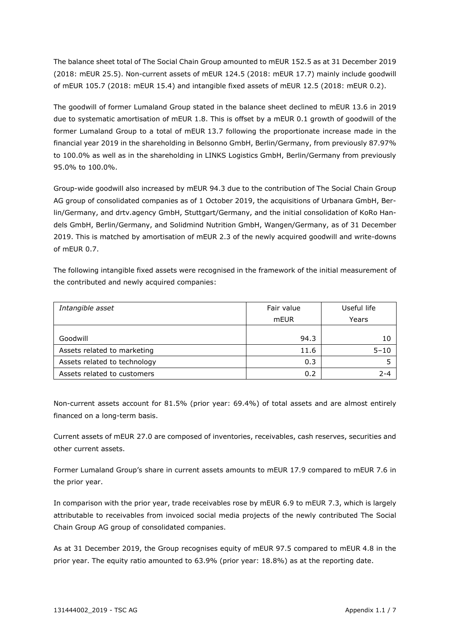The balance sheet total of The Social Chain Group amounted to mEUR 152.5 as at 31 December 2019 (2018: mEUR 25.5). Non-current assets of mEUR 124.5 (2018: mEUR 17.7) mainly include goodwill of mEUR 105.7 (2018: mEUR 15.4) and intangible fixed assets of mEUR 12.5 (2018: mEUR 0.2).

The goodwill of former Lumaland Group stated in the balance sheet declined to mEUR 13.6 in 2019 due to systematic amortisation of mEUR 1.8. This is offset by a mEUR 0.1 growth of goodwill of the former Lumaland Group to a total of mEUR 13.7 following the proportionate increase made in the financial year 2019 in the shareholding in Belsonno GmbH, Berlin/Germany, from previously 87.97% to 100.0% as well as in the shareholding in LINKS Logistics GmbH, Berlin/Germany from previously 95.0% to 100.0%.

Group-wide goodwill also increased by mEUR 94.3 due to the contribution of The Social Chain Group AG group of consolidated companies as of 1 October 2019, the acquisitions of Urbanara GmbH, Berlin/Germany, and drtv.agency GmbH, Stuttgart/Germany, and the initial consolidation of KoRo Handels GmbH, Berlin/Germany, and Solidmind Nutrition GmbH, Wangen/Germany, as of 31 December 2019. This is matched by amortisation of mEUR 2.3 of the newly acquired goodwill and write-downs of mEUR 0.7.

The following intangible fixed assets were recognised in the framework of the initial measurement of the contributed and newly acquired companies:

| Intangible asset             | Fair value | Useful life |  |
|------------------------------|------------|-------------|--|
|                              | mEUR       | Years       |  |
|                              |            |             |  |
| Goodwill                     | 94.3       | 10          |  |
| Assets related to marketing  | 11.6       | $5 - 10$    |  |
| Assets related to technology | 0.3        |             |  |
| Assets related to customers  | 0.2        | $2 - 4$     |  |

Non-current assets account for 81.5% (prior year: 69.4%) of total assets and are almost entirely financed on a long-term basis.

Current assets of mEUR 27.0 are composed of inventories, receivables, cash reserves, securities and other current assets.

Former Lumaland Group's share in current assets amounts to mEUR 17.9 compared to mEUR 7.6 in the prior year.

In comparison with the prior year, trade receivables rose by mEUR 6.9 to mEUR 7.3, which is largely attributable to receivables from invoiced social media projects of the newly contributed The Social Chain Group AG group of consolidated companies.

As at 31 December 2019, the Group recognises equity of mEUR 97.5 compared to mEUR 4.8 in the prior year. The equity ratio amounted to 63.9% (prior year: 18.8%) as at the reporting date.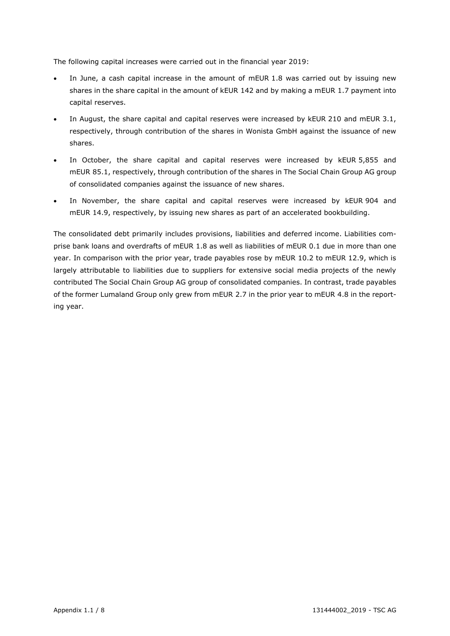The following capital increases were carried out in the financial year 2019:

- In June, a cash capital increase in the amount of mEUR 1.8 was carried out by issuing new shares in the share capital in the amount of kEUR 142 and by making a mEUR 1.7 payment into capital reserves.
- In August, the share capital and capital reserves were increased by kEUR 210 and mEUR 3.1, respectively, through contribution of the shares in Wonista GmbH against the issuance of new shares.
- In October, the share capital and capital reserves were increased by kEUR 5,855 and mEUR 85.1, respectively, through contribution of the shares in The Social Chain Group AG group of consolidated companies against the issuance of new shares.
- In November, the share capital and capital reserves were increased by kEUR 904 and mEUR 14.9, respectively, by issuing new shares as part of an accelerated bookbuilding.

The consolidated debt primarily includes provisions, liabilities and deferred income. Liabilities comprise bank loans and overdrafts of mEUR 1.8 as well as liabilities of mEUR 0.1 due in more than one year. In comparison with the prior year, trade payables rose by mEUR 10.2 to mEUR 12.9, which is largely attributable to liabilities due to suppliers for extensive social media projects of the newly contributed The Social Chain Group AG group of consolidated companies. In contrast, trade payables of the former Lumaland Group only grew from mEUR 2.7 in the prior year to mEUR 4.8 in the reporting year.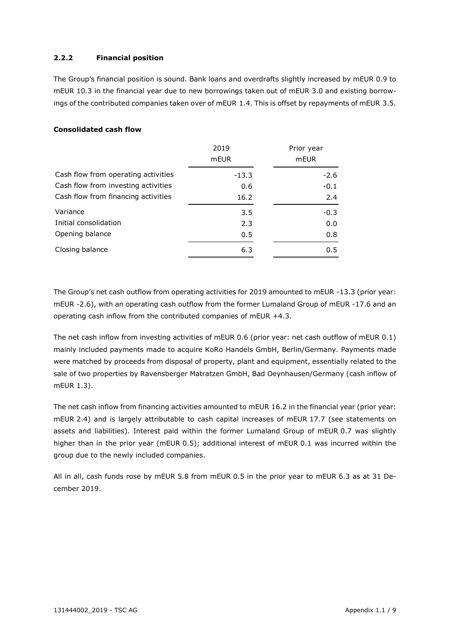#### **2.2.2 Financial position**

The Group's financial position is sound. Bank loans and overdrafts slightly increased by mEUR 0.9 to mEUR 10.3 in the financial year due to new borrowings taken out of mEUR 3.0 and existing borrowings of the contributed companies taken over of mEUR 1.4. This is offset by repayments of mEUR 3.5.

#### **Consolidated cash flow**

|                                     | 2019    | Prior year |
|-------------------------------------|---------|------------|
|                                     | mEUR    | mEUR       |
| Cash flow from operating activities | $-13.3$ | $-2.6$     |
| Cash flow from investing activities | 0.6     | $-0.1$     |
| Cash flow from financing activities | 16.2    | 2.4        |
| Variance                            | 3.5     | $-0.3$     |
| Initial consolidation               | 2.3     | 0.0        |
| Opening balance                     | 0.5     | 0.8        |
| Closing balance                     | 6.3     | 0.5        |

The Group's net cash outflow from operating activities for 2019 amounted to mEUR -13.3 (prior year: mEUR -2.6), with an operating cash outflow from the former Lumaland Group of mEUR -17.6 and an operating cash inflow from the contributed companies of mEUR +4.3.

The net cash inflow from investing activities of mEUR 0.6 (prior year: net cash outflow of mEUR 0.1) mainly included payments made to acquire KoRo Handels GmbH, Berlin/Germany. Payments made were matched by proceeds from disposal of property, plant and equipment, essentially related to the sale of two properties by Ravensberger Matratzen GmbH, Bad Oeynhausen/Germany (cash inflow of mEUR 1.3).

The net cash inflow from financing activities amounted to mEUR 16.2 in the financial year (prior year: mEUR 2.4) and is largely attributable to cash capital increases of mEUR 17.7 (see statements on assets and liabilities). Interest paid within the former Lumaland Group of mEUR 0.7 was slightly higher than in the prior year (mEUR 0.5); additional interest of mEUR 0.1 was incurred within the group due to the newly included companies.

All in all, cash funds rose by mEUR 5.8 from mEUR 0.5 in the prior year to mEUR 6.3 as at 31 December 2019.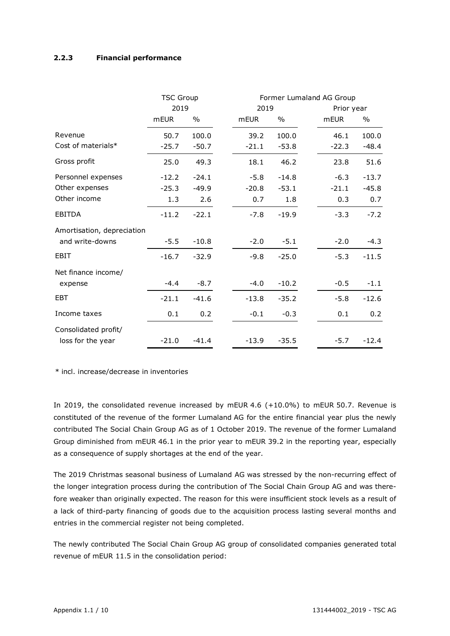#### **2.2.3 Financial performance**

|                            | <b>TSC Group</b> |         |             |         | Former Lumaland AG Group |             |         |  |
|----------------------------|------------------|---------|-------------|---------|--------------------------|-------------|---------|--|
|                            | 2019             |         | 2019        |         |                          | Prior year  |         |  |
|                            | <b>mEUR</b>      | $\%$    | <b>mEUR</b> | $\%$    |                          | <b>mEUR</b> | $\%$    |  |
| Revenue                    | 50.7             | 100.0   | 39.2        | 100.0   |                          | 46.1        | 100.0   |  |
| Cost of materials*         | $-25.7$          | $-50.7$ | $-21.1$     | $-53.8$ |                          | $-22.3$     | $-48.4$ |  |
| Gross profit               | 25.0             | 49.3    | 18.1        | 46.2    |                          | 23.8        | 51.6    |  |
| Personnel expenses         | $-12.2$          | $-24.1$ | $-5.8$      | $-14.8$ |                          | $-6.3$      | $-13.7$ |  |
| Other expenses             | $-25.3$          | $-49.9$ | $-20.8$     | $-53.1$ |                          | $-21.1$     | $-45.8$ |  |
| Other income               | 1.3              | 2.6     | 0.7         | 1.8     |                          | 0.3         | 0.7     |  |
| <b>EBITDA</b>              | $-11.2$          | $-22.1$ | $-7.8$      | $-19.9$ |                          | $-3.3$      | $-7.2$  |  |
| Amortisation, depreciation |                  |         |             |         |                          |             |         |  |
| and write-downs            | $-5.5$           | $-10.8$ | $-2.0$      | $-5.1$  |                          | $-2.0$      | $-4.3$  |  |
| EBIT                       | $-16.7$          | $-32.9$ | $-9.8$      | $-25.0$ |                          | $-5.3$      | $-11.5$ |  |
| Net finance income/        |                  |         |             |         |                          |             |         |  |
| expense                    | $-4.4$           | $-8.7$  | $-4.0$      | $-10.2$ |                          | $-0.5$      | $-1.1$  |  |
| <b>EBT</b>                 | $-21.1$          | $-41.6$ | $-13.8$     | $-35.2$ |                          | $-5.8$      | $-12.6$ |  |
| Income taxes               | 0.1              | 0.2     | $-0.1$      | $-0.3$  |                          | 0.1         | 0.2     |  |
| Consolidated profit/       |                  |         |             |         |                          |             |         |  |
| loss for the year          | $-21.0$          | $-41.4$ | $-13.9$     | $-35.5$ |                          | $-5.7$      | $-12.4$ |  |

\* incl. increase/decrease in inventories

In 2019, the consolidated revenue increased by mEUR 4.6 (+10.0%) to mEUR 50.7. Revenue is constituted of the revenue of the former Lumaland AG for the entire financial year plus the newly contributed The Social Chain Group AG as of 1 October 2019. The revenue of the former Lumaland Group diminished from mEUR 46.1 in the prior year to mEUR 39.2 in the reporting year, especially as a consequence of supply shortages at the end of the year.

The 2019 Christmas seasonal business of Lumaland AG was stressed by the non-recurring effect of the longer integration process during the contribution of The Social Chain Group AG and was therefore weaker than originally expected. The reason for this were insufficient stock levels as a result of a lack of third-party financing of goods due to the acquisition process lasting several months and entries in the commercial register not being completed.

The newly contributed The Social Chain Group AG group of consolidated companies generated total revenue of mEUR 11.5 in the consolidation period: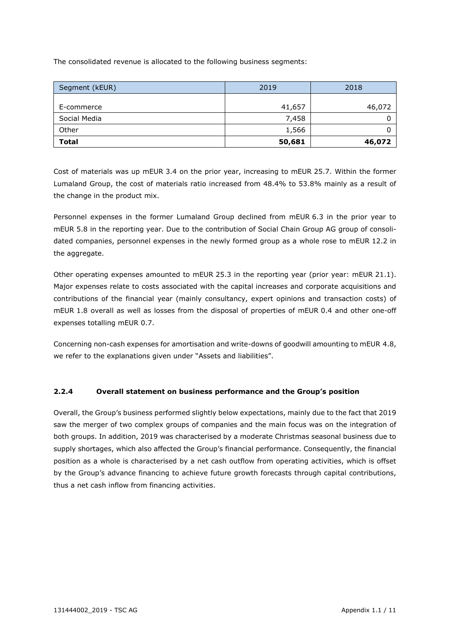The consolidated revenue is allocated to the following business segments:

| Segment (kEUR) | 2019   | 2018   |
|----------------|--------|--------|
| E-commerce     | 41,657 | 46,072 |
| Social Media   | 7,458  |        |
| Other          | 1,566  |        |
| <b>Total</b>   | 50,681 | 46,072 |

Cost of materials was up mEUR 3.4 on the prior year, increasing to mEUR 25.7. Within the former Lumaland Group, the cost of materials ratio increased from 48.4% to 53.8% mainly as a result of the change in the product mix.

Personnel expenses in the former Lumaland Group declined from mEUR 6.3 in the prior year to mEUR 5.8 in the reporting year. Due to the contribution of Social Chain Group AG group of consolidated companies, personnel expenses in the newly formed group as a whole rose to mEUR 12.2 in the aggregate.

Other operating expenses amounted to mEUR 25.3 in the reporting year (prior year: mEUR 21.1). Major expenses relate to costs associated with the capital increases and corporate acquisitions and contributions of the financial year (mainly consultancy, expert opinions and transaction costs) of mEUR 1.8 overall as well as losses from the disposal of properties of mEUR 0.4 and other one-off expenses totalling mEUR 0.7.

Concerning non-cash expenses for amortisation and write-downs of goodwill amounting to mEUR 4.8, we refer to the explanations given under "Assets and liabilities".

#### **2.2.4 Overall statement on business performance and the Group's position**

Overall, the Group's business performed slightly below expectations, mainly due to the fact that 2019 saw the merger of two complex groups of companies and the main focus was on the integration of both groups. In addition, 2019 was characterised by a moderate Christmas seasonal business due to supply shortages, which also affected the Group's financial performance. Consequently, the financial position as a whole is characterised by a net cash outflow from operating activities, which is offset by the Group's advance financing to achieve future growth forecasts through capital contributions, thus a net cash inflow from financing activities.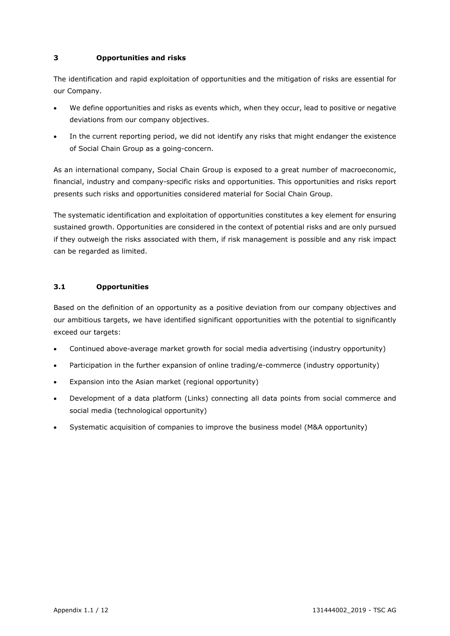#### **3 Opportunities and risks**

The identification and rapid exploitation of opportunities and the mitigation of risks are essential for our Company.

- We define opportunities and risks as events which, when they occur, lead to positive or negative deviations from our company objectives.
- In the current reporting period, we did not identify any risks that might endanger the existence of Social Chain Group as a going-concern.

As an international company, Social Chain Group is exposed to a great number of macroeconomic, financial, industry and company-specific risks and opportunities. This opportunities and risks report presents such risks and opportunities considered material for Social Chain Group.

The systematic identification and exploitation of opportunities constitutes a key element for ensuring sustained growth. Opportunities are considered in the context of potential risks and are only pursued if they outweigh the risks associated with them, if risk management is possible and any risk impact can be regarded as limited.

#### **3.1 Opportunities**

Based on the definition of an opportunity as a positive deviation from our company objectives and our ambitious targets, we have identified significant opportunities with the potential to significantly exceed our targets:

- Continued above-average market growth for social media advertising (industry opportunity)
- Participation in the further expansion of online trading/e-commerce (industry opportunity)
- Expansion into the Asian market (regional opportunity)
- Development of a data platform (Links) connecting all data points from social commerce and social media (technological opportunity)
- Systematic acquisition of companies to improve the business model (M&A opportunity)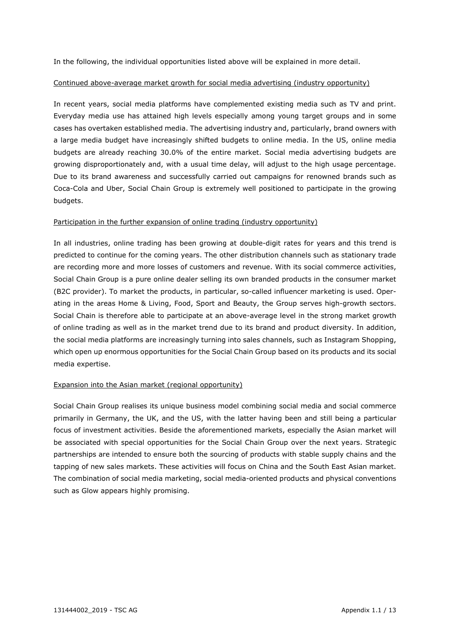In the following, the individual opportunities listed above will be explained in more detail.

#### Continued above-average market growth for social media advertising (industry opportunity)

In recent years, social media platforms have complemented existing media such as TV and print. Everyday media use has attained high levels especially among young target groups and in some cases has overtaken established media. The advertising industry and, particularly, brand owners with a large media budget have increasingly shifted budgets to online media. In the US, online media budgets are already reaching 30.0% of the entire market. Social media advertising budgets are growing disproportionately and, with a usual time delay, will adjust to the high usage percentage. Due to its brand awareness and successfully carried out campaigns for renowned brands such as Coca-Cola and Uber, Social Chain Group is extremely well positioned to participate in the growing budgets.

#### Participation in the further expansion of online trading (industry opportunity)

In all industries, online trading has been growing at double-digit rates for years and this trend is predicted to continue for the coming years. The other distribution channels such as stationary trade are recording more and more losses of customers and revenue. With its social commerce activities, Social Chain Group is a pure online dealer selling its own branded products in the consumer market (B2C provider). To market the products, in particular, so-called influencer marketing is used. Operating in the areas Home & Living, Food, Sport and Beauty, the Group serves high-growth sectors. Social Chain is therefore able to participate at an above-average level in the strong market growth of online trading as well as in the market trend due to its brand and product diversity. In addition, the social media platforms are increasingly turning into sales channels, such as Instagram Shopping, which open up enormous opportunities for the Social Chain Group based on its products and its social media expertise.

#### Expansion into the Asian market (regional opportunity)

Social Chain Group realises its unique business model combining social media and social commerce primarily in Germany, the UK, and the US, with the latter having been and still being a particular focus of investment activities. Beside the aforementioned markets, especially the Asian market will be associated with special opportunities for the Social Chain Group over the next years. Strategic partnerships are intended to ensure both the sourcing of products with stable supply chains and the tapping of new sales markets. These activities will focus on China and the South East Asian market. The combination of social media marketing, social media-oriented products and physical conventions such as Glow appears highly promising.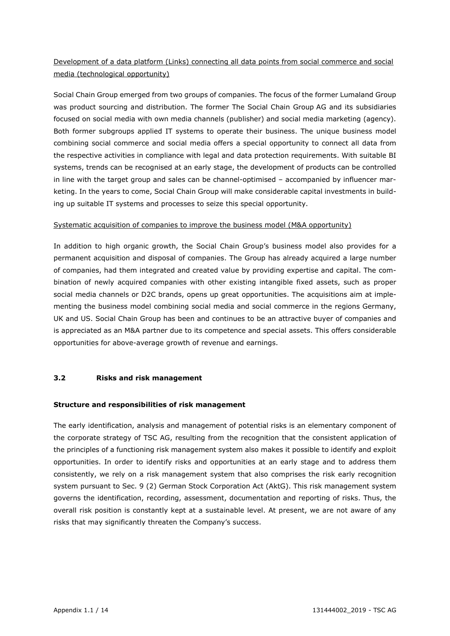### Development of a data platform (Links) connecting all data points from social commerce and social media (technological opportunity)

Social Chain Group emerged from two groups of companies. The focus of the former Lumaland Group was product sourcing and distribution. The former The Social Chain Group AG and its subsidiaries focused on social media with own media channels (publisher) and social media marketing (agency). Both former subgroups applied IT systems to operate their business. The unique business model combining social commerce and social media offers a special opportunity to connect all data from the respective activities in compliance with legal and data protection requirements. With suitable BI systems, trends can be recognised at an early stage, the development of products can be controlled in line with the target group and sales can be channel-optimised – accompanied by influencer marketing. In the years to come, Social Chain Group will make considerable capital investments in building up suitable IT systems and processes to seize this special opportunity.

#### Systematic acquisition of companies to improve the business model (M&A opportunity)

In addition to high organic growth, the Social Chain Group's business model also provides for a permanent acquisition and disposal of companies. The Group has already acquired a large number of companies, had them integrated and created value by providing expertise and capital. The combination of newly acquired companies with other existing intangible fixed assets, such as proper social media channels or D2C brands, opens up great opportunities. The acquisitions aim at implementing the business model combining social media and social commerce in the regions Germany, UK and US. Social Chain Group has been and continues to be an attractive buyer of companies and is appreciated as an M&A partner due to its competence and special assets. This offers considerable opportunities for above-average growth of revenue and earnings.

#### **3.2 Risks and risk management**

#### **Structure and responsibilities of risk management**

The early identification, analysis and management of potential risks is an elementary component of the corporate strategy of TSC AG, resulting from the recognition that the consistent application of the principles of a functioning risk management system also makes it possible to identify and exploit opportunities. In order to identify risks and opportunities at an early stage and to address them consistently, we rely on a risk management system that also comprises the risk early recognition system pursuant to Sec. 9 (2) German Stock Corporation Act (AktG). This risk management system governs the identification, recording, assessment, documentation and reporting of risks. Thus, the overall risk position is constantly kept at a sustainable level. At present, we are not aware of any risks that may significantly threaten the Company's success.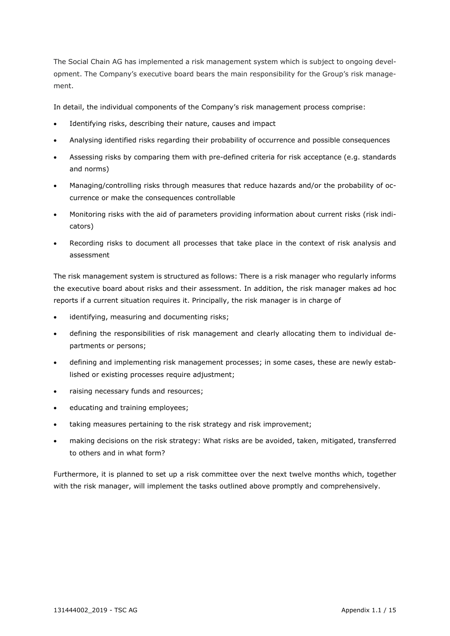The Social Chain AG has implemented a risk management system which is subject to ongoing development. The Company's executive board bears the main responsibility for the Group's risk management.

In detail, the individual components of the Company's risk management process comprise:

- Identifying risks, describing their nature, causes and impact
- Analysing identified risks regarding their probability of occurrence and possible consequences
- Assessing risks by comparing them with pre-defined criteria for risk acceptance (e.g. standards and norms)
- Managing/controlling risks through measures that reduce hazards and/or the probability of occurrence or make the consequences controllable
- Monitoring risks with the aid of parameters providing information about current risks (risk indicators)
- Recording risks to document all processes that take place in the context of risk analysis and assessment

The risk management system is structured as follows: There is a risk manager who regularly informs the executive board about risks and their assessment. In addition, the risk manager makes ad hoc reports if a current situation requires it. Principally, the risk manager is in charge of

- identifying, measuring and documenting risks;
- defining the responsibilities of risk management and clearly allocating them to individual departments or persons;
- defining and implementing risk management processes; in some cases, these are newly established or existing processes require adjustment;
- raising necessary funds and resources;
- educating and training employees;
- taking measures pertaining to the risk strategy and risk improvement;
- making decisions on the risk strategy: What risks are be avoided, taken, mitigated, transferred to others and in what form?

Furthermore, it is planned to set up a risk committee over the next twelve months which, together with the risk manager, will implement the tasks outlined above promptly and comprehensively.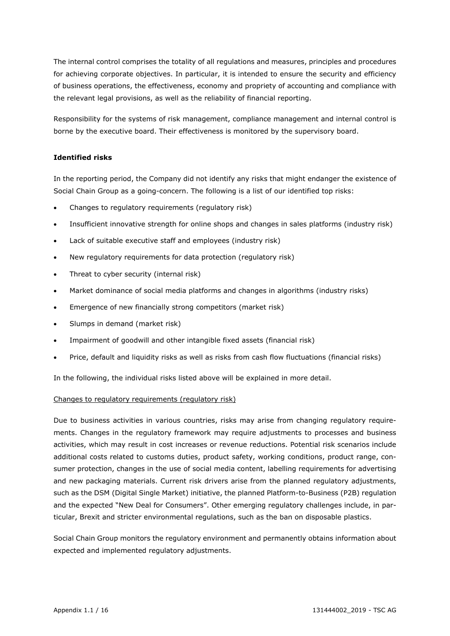The internal control comprises the totality of all regulations and measures, principles and procedures for achieving corporate objectives. In particular, it is intended to ensure the security and efficiency of business operations, the effectiveness, economy and propriety of accounting and compliance with the relevant legal provisions, as well as the reliability of financial reporting.

Responsibility for the systems of risk management, compliance management and internal control is borne by the executive board. Their effectiveness is monitored by the supervisory board.

#### **Identified risks**

In the reporting period, the Company did not identify any risks that might endanger the existence of Social Chain Group as a going-concern. The following is a list of our identified top risks:

- Changes to regulatory requirements (regulatory risk)
- Insufficient innovative strength for online shops and changes in sales platforms (industry risk)
- Lack of suitable executive staff and employees (industry risk)
- New regulatory requirements for data protection (regulatory risk)
- Threat to cyber security (internal risk)
- Market dominance of social media platforms and changes in algorithms (industry risks)
- Emergence of new financially strong competitors (market risk)
- Slumps in demand (market risk)
- Impairment of goodwill and other intangible fixed assets (financial risk)
- Price, default and liquidity risks as well as risks from cash flow fluctuations (financial risks)

In the following, the individual risks listed above will be explained in more detail.

#### Changes to regulatory requirements (regulatory risk)

Due to business activities in various countries, risks may arise from changing regulatory requirements. Changes in the regulatory framework may require adjustments to processes and business activities, which may result in cost increases or revenue reductions. Potential risk scenarios include additional costs related to customs duties, product safety, working conditions, product range, consumer protection, changes in the use of social media content, labelling requirements for advertising and new packaging materials. Current risk drivers arise from the planned regulatory adjustments, such as the DSM (Digital Single Market) initiative, the planned Platform-to-Business (P2B) regulation and the expected "New Deal for Consumers". Other emerging regulatory challenges include, in particular, Brexit and stricter environmental regulations, such as the ban on disposable plastics.

Social Chain Group monitors the regulatory environment and permanently obtains information about expected and implemented regulatory adjustments.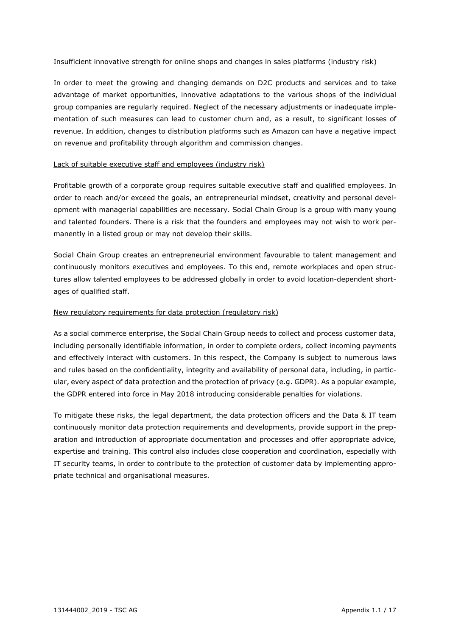#### Insufficient innovative strength for online shops and changes in sales platforms (industry risk)

In order to meet the growing and changing demands on D2C products and services and to take advantage of market opportunities, innovative adaptations to the various shops of the individual group companies are regularly required. Neglect of the necessary adjustments or inadequate implementation of such measures can lead to customer churn and, as a result, to significant losses of revenue. In addition, changes to distribution platforms such as Amazon can have a negative impact on revenue and profitability through algorithm and commission changes.

#### Lack of suitable executive staff and employees (industry risk)

Profitable growth of a corporate group requires suitable executive staff and qualified employees. In order to reach and/or exceed the goals, an entrepreneurial mindset, creativity and personal development with managerial capabilities are necessary. Social Chain Group is a group with many young and talented founders. There is a risk that the founders and employees may not wish to work permanently in a listed group or may not develop their skills.

Social Chain Group creates an entrepreneurial environment favourable to talent management and continuously monitors executives and employees. To this end, remote workplaces and open structures allow talented employees to be addressed globally in order to avoid location-dependent shortages of qualified staff.

#### New regulatory requirements for data protection (regulatory risk)

As a social commerce enterprise, the Social Chain Group needs to collect and process customer data, including personally identifiable information, in order to complete orders, collect incoming payments and effectively interact with customers. In this respect, the Company is subject to numerous laws and rules based on the confidentiality, integrity and availability of personal data, including, in particular, every aspect of data protection and the protection of privacy (e.g. GDPR). As a popular example, the GDPR entered into force in May 2018 introducing considerable penalties for violations.

To mitigate these risks, the legal department, the data protection officers and the Data & IT team continuously monitor data protection requirements and developments, provide support in the preparation and introduction of appropriate documentation and processes and offer appropriate advice, expertise and training. This control also includes close cooperation and coordination, especially with IT security teams, in order to contribute to the protection of customer data by implementing appropriate technical and organisational measures.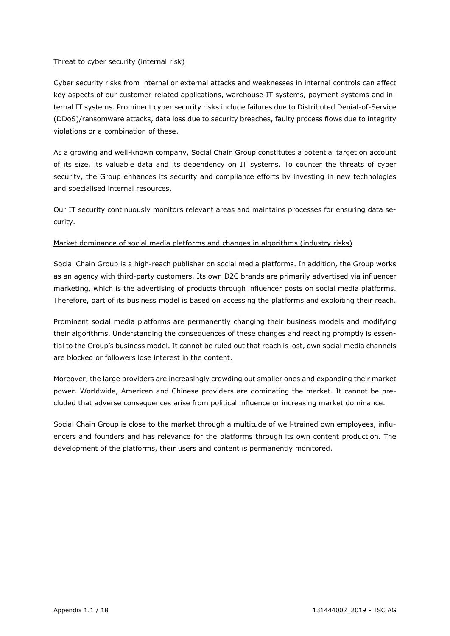#### Threat to cyber security (internal risk)

Cyber security risks from internal or external attacks and weaknesses in internal controls can affect key aspects of our customer-related applications, warehouse IT systems, payment systems and internal IT systems. Prominent cyber security risks include failures due to Distributed Denial-of-Service (DDoS)/ransomware attacks, data loss due to security breaches, faulty process flows due to integrity violations or a combination of these.

As a growing and well-known company, Social Chain Group constitutes a potential target on account of its size, its valuable data and its dependency on IT systems. To counter the threats of cyber security, the Group enhances its security and compliance efforts by investing in new technologies and specialised internal resources.

Our IT security continuously monitors relevant areas and maintains processes for ensuring data security.

#### Market dominance of social media platforms and changes in algorithms (industry risks)

Social Chain Group is a high-reach publisher on social media platforms. In addition, the Group works as an agency with third-party customers. Its own D2C brands are primarily advertised via influencer marketing, which is the advertising of products through influencer posts on social media platforms. Therefore, part of its business model is based on accessing the platforms and exploiting their reach.

Prominent social media platforms are permanently changing their business models and modifying their algorithms. Understanding the consequences of these changes and reacting promptly is essential to the Group's business model. It cannot be ruled out that reach is lost, own social media channels are blocked or followers lose interest in the content.

Moreover, the large providers are increasingly crowding out smaller ones and expanding their market power. Worldwide, American and Chinese providers are dominating the market. It cannot be precluded that adverse consequences arise from political influence or increasing market dominance.

Social Chain Group is close to the market through a multitude of well-trained own employees, influencers and founders and has relevance for the platforms through its own content production. The development of the platforms, their users and content is permanently monitored.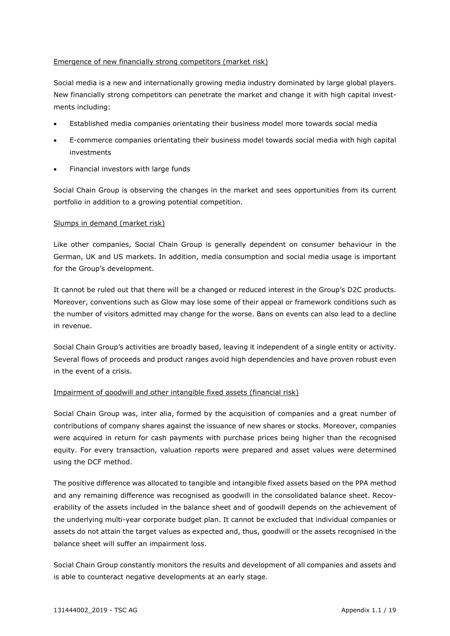#### Emergence of new financially strong competitors (market risk)

Social media is a new and internationally growing media industry dominated by large global players. New financially strong competitors can penetrate the market and change it with high capital investments including:

- Established media companies orientating their business model more towards social media
- E-commerce companies orientating their business model towards social media with high capital investments
- Financial investors with large funds

Social Chain Group is observing the changes in the market and sees opportunities from its current portfolio in addition to a growing potential competition.

#### Slumps in demand (market risk)

Like other companies, Social Chain Group is generally dependent on consumer behaviour in the German, UK and US markets. In addition, media consumption and social media usage is important for the Group's development.

It cannot be ruled out that there will be a changed or reduced interest in the Group's D2C products. Moreover, conventions such as Glow may lose some of their appeal or framework conditions such as the number of visitors admitted may change for the worse. Bans on events can also lead to a decline in revenue.

Social Chain Group's activities are broadly based, leaving it independent of a single entity or activity. Several flows of proceeds and product ranges avoid high dependencies and have proven robust even in the event of a crisis.

#### Impairment of goodwill and other intangible fixed assets (financial risk)

Social Chain Group was, inter alia, formed by the acquisition of companies and a great number of contributions of company shares against the issuance of new shares or stocks. Moreover, companies were acquired in return for cash payments with purchase prices being higher than the recognised equity. For every transaction, valuation reports were prepared and asset values were determined using the DCF method.

The positive difference was allocated to tangible and intangible fixed assets based on the PPA method and any remaining difference was recognised as goodwill in the consolidated balance sheet. Recoverability of the assets included in the balance sheet and of goodwill depends on the achievement of the underlying multi-year corporate budget plan. It cannot be excluded that individual companies or assets do not attain the target values as expected and, thus, goodwill or the assets recognised in the balance sheet will suffer an impairment loss.

Social Chain Group constantly monitors the results and development of all companies and assets and is able to counteract negative developments at an early stage.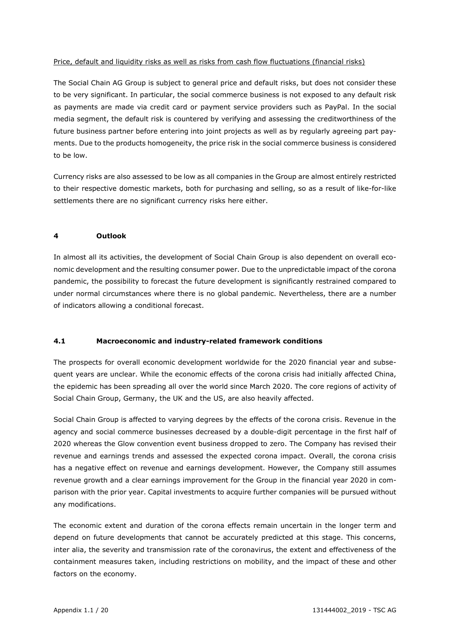#### Price, default and liquidity risks as well as risks from cash flow fluctuations (financial risks)

The Social Chain AG Group is subject to general price and default risks, but does not consider these to be very significant. In particular, the social commerce business is not exposed to any default risk as payments are made via credit card or payment service providers such as PayPal. In the social media segment, the default risk is countered by verifying and assessing the creditworthiness of the future business partner before entering into joint projects as well as by regularly agreeing part payments. Due to the products homogeneity, the price risk in the social commerce business is considered to be low.

Currency risks are also assessed to be low as all companies in the Group are almost entirely restricted to their respective domestic markets, both for purchasing and selling, so as a result of like-for-like settlements there are no significant currency risks here either.

#### **4 Outlook**

In almost all its activities, the development of Social Chain Group is also dependent on overall economic development and the resulting consumer power. Due to the unpredictable impact of the corona pandemic, the possibility to forecast the future development is significantly restrained compared to under normal circumstances where there is no global pandemic. Nevertheless, there are a number of indicators allowing a conditional forecast.

#### **4.1 Macroeconomic and industry-related framework conditions**

The prospects for overall economic development worldwide for the 2020 financial year and subsequent years are unclear. While the economic effects of the corona crisis had initially affected China, the epidemic has been spreading all over the world since March 2020. The core regions of activity of Social Chain Group, Germany, the UK and the US, are also heavily affected.

Social Chain Group is affected to varying degrees by the effects of the corona crisis. Revenue in the agency and social commerce businesses decreased by a double-digit percentage in the first half of 2020 whereas the Glow convention event business dropped to zero. The Company has revised their revenue and earnings trends and assessed the expected corona impact. Overall, the corona crisis has a negative effect on revenue and earnings development. However, the Company still assumes revenue growth and a clear earnings improvement for the Group in the financial year 2020 in comparison with the prior year. Capital investments to acquire further companies will be pursued without any modifications.

The economic extent and duration of the corona effects remain uncertain in the longer term and depend on future developments that cannot be accurately predicted at this stage. This concerns, inter alia, the severity and transmission rate of the coronavirus, the extent and effectiveness of the containment measures taken, including restrictions on mobility, and the impact of these and other factors on the economy.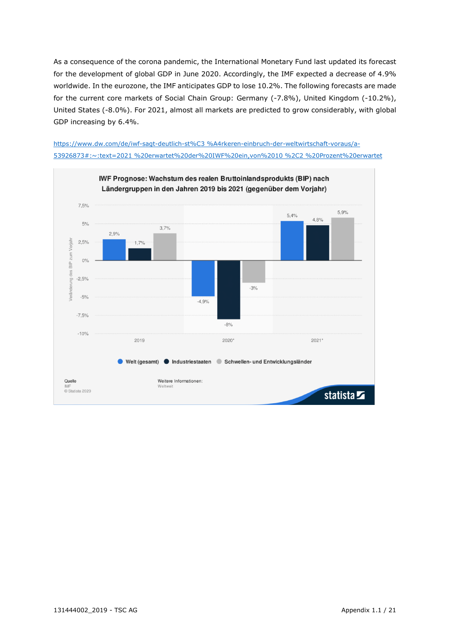As a consequence of the corona pandemic, the International Monetary Fund last updated its forecast for the development of global GDP in June 2020. Accordingly, the IMF expected a decrease of 4.9% worldwide. In the eurozone, the IMF anticipates GDP to lose 10.2%. The following forecasts are made for the current core markets of Social Chain Group: Germany (-7.8%), United Kingdom (-10.2%), United States (-8.0%). For 2021, almost all markets are predicted to grow considerably, with global GDP increasing by 6.4%.

https://www.dw.com/de/iwf-sagt-deutlich-st%C3 %A4rkeren-einbruch-der-weltwirtschaft-voraus/a-53926873#:~:text=2021 %20erwartet%20der%20IWF%20ein,von%2010 %2C2 %20Prozent%20erwartet

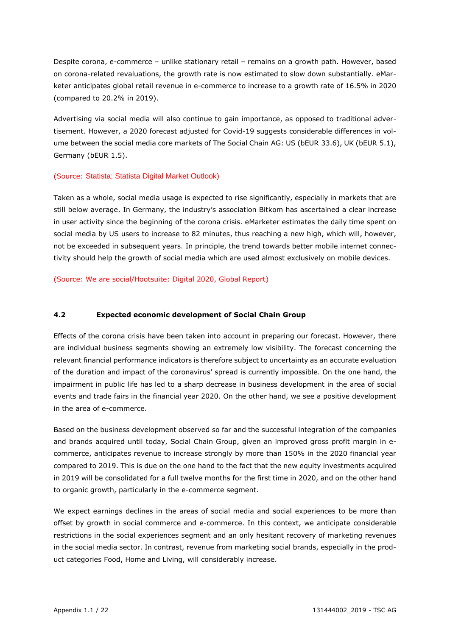Despite corona, e-commerce – unlike stationary retail – remains on a growth path. However, based on corona-related revaluations, the growth rate is now estimated to slow down substantially. eMarketer anticipates global retail revenue in e-commerce to increase to a growth rate of 16.5% in 2020 (compared to 20.2% in 2019).

Advertising via social media will also continue to gain importance, as opposed to traditional advertisement. However, a 2020 forecast adjusted for Covid-19 suggests considerable differences in volume between the social media core markets of The Social Chain AG: US (bEUR 33.6), UK (bEUR 5.1), Germany (bEUR 1.5).

#### (Source: Statista; Statista Digital Market Outlook)

Taken as a whole, social media usage is expected to rise significantly, especially in markets that are still below average. In Germany, the industry's association Bitkom has ascertained a clear increase in user activity since the beginning of the corona crisis. eMarketer estimates the daily time spent on social media by US users to increase to 82 minutes, thus reaching a new high, which will, however, not be exceeded in subsequent years. In principle, the trend towards better mobile internet connectivity should help the growth of social media which are used almost exclusively on mobile devices.

(Source: We are social/Hootsuite: Digital 2020, Global Report)

#### **4.2 Expected economic development of Social Chain Group**

Effects of the corona crisis have been taken into account in preparing our forecast. However, there are individual business segments showing an extremely low visibility. The forecast concerning the relevant financial performance indicators is therefore subject to uncertainty as an accurate evaluation of the duration and impact of the coronavirus' spread is currently impossible. On the one hand, the impairment in public life has led to a sharp decrease in business development in the area of social events and trade fairs in the financial year 2020. On the other hand, we see a positive development in the area of e-commerce.

Based on the business development observed so far and the successful integration of the companies and brands acquired until today, Social Chain Group, given an improved gross profit margin in ecommerce, anticipates revenue to increase strongly by more than 150% in the 2020 financial year compared to 2019. This is due on the one hand to the fact that the new equity investments acquired in 2019 will be consolidated for a full twelve months for the first time in 2020, and on the other hand to organic growth, particularly in the e-commerce segment.

We expect earnings declines in the areas of social media and social experiences to be more than offset by growth in social commerce and e-commerce. In this context, we anticipate considerable restrictions in the social experiences segment and an only hesitant recovery of marketing revenues in the social media sector. In contrast, revenue from marketing social brands, especially in the product categories Food, Home and Living, will considerably increase.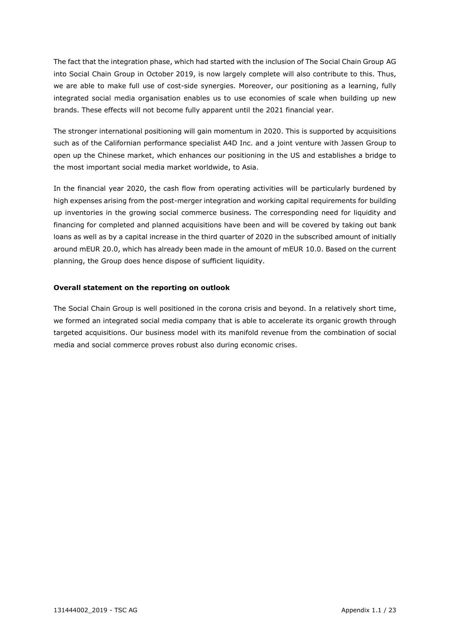The fact that the integration phase, which had started with the inclusion of The Social Chain Group AG into Social Chain Group in October 2019, is now largely complete will also contribute to this. Thus, we are able to make full use of cost-side synergies. Moreover, our positioning as a learning, fully integrated social media organisation enables us to use economies of scale when building up new brands. These effects will not become fully apparent until the 2021 financial year.

The stronger international positioning will gain momentum in 2020. This is supported by acquisitions such as of the Californian performance specialist A4D Inc. and a joint venture with Jassen Group to open up the Chinese market, which enhances our positioning in the US and establishes a bridge to the most important social media market worldwide, to Asia.

In the financial year 2020, the cash flow from operating activities will be particularly burdened by high expenses arising from the post-merger integration and working capital requirements for building up inventories in the growing social commerce business. The corresponding need for liquidity and financing for completed and planned acquisitions have been and will be covered by taking out bank loans as well as by a capital increase in the third quarter of 2020 in the subscribed amount of initially around mEUR 20.0, which has already been made in the amount of mEUR 10.0. Based on the current planning, the Group does hence dispose of sufficient liquidity.

#### **Overall statement on the reporting on outlook**

The Social Chain Group is well positioned in the corona crisis and beyond. In a relatively short time, we formed an integrated social media company that is able to accelerate its organic growth through targeted acquisitions. Our business model with its manifold revenue from the combination of social media and social commerce proves robust also during economic crises.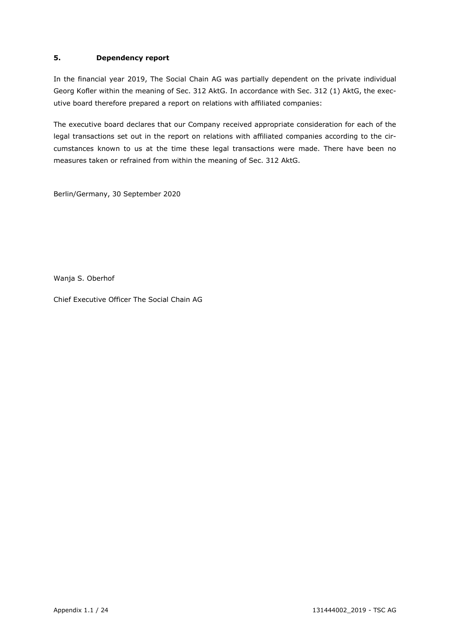#### **5. Dependency report**

In the financial year 2019, The Social Chain AG was partially dependent on the private individual Georg Kofler within the meaning of Sec. 312 AktG. In accordance with Sec. 312 (1) AktG, the executive board therefore prepared a report on relations with affiliated companies:

The executive board declares that our Company received appropriate consideration for each of the legal transactions set out in the report on relations with affiliated companies according to the circumstances known to us at the time these legal transactions were made. There have been no measures taken or refrained from within the meaning of Sec. 312 AktG.

Berlin/Germany, 30 September 2020

Wanja S. Oberhof

Chief Executive Officer The Social Chain AG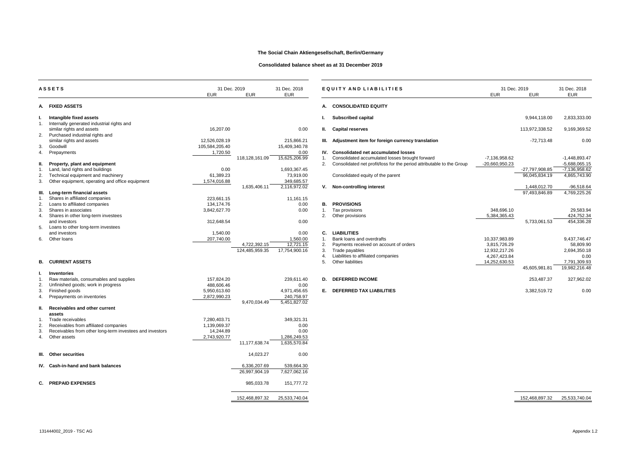|    | <b>ASSETS</b>                                                                                     | 31 Dec. 2019<br><b>EUR</b> | <b>EUR</b>     | 31 Dec. 2018<br><b>EUR</b> |                      | EQUITY AND LIABILITIES                                                | 31 Dec. 2019<br><b>EUR</b> | <b>EUR</b>     | 31 Dec. 2018<br><b>EUR</b> |
|----|---------------------------------------------------------------------------------------------------|----------------------------|----------------|----------------------------|----------------------|-----------------------------------------------------------------------|----------------------------|----------------|----------------------------|
|    | A. FIXED ASSETS                                                                                   |                            |                |                            |                      | A. CONSOLIDATED EQUITY                                                |                            |                |                            |
|    | Intangible fixed assets                                                                           |                            |                |                            |                      | <b>Subscribed capital</b>                                             |                            | 9,944,118.00   | 2,833,333.00               |
|    | Internally generated industrial rights and<br>similar rights and assets                           | 16,207.00                  |                | 0.00                       | Ш.                   | <b>Capital reserves</b>                                               |                            | 113,972,338.52 | 9,169,369.52               |
| 2. | Purchased industrial rights and                                                                   |                            |                |                            |                      |                                                                       |                            |                |                            |
|    | similar rights and assets                                                                         | 12,526,028.19              |                | 215,866.21                 |                      | III. Adjustment item for foreign currency translation                 |                            | $-72,713.48$   | 0.00                       |
| 3. | Goodwill                                                                                          | 105,584,205.40<br>1,720.50 |                | 15,409,340.78              |                      | IV. Consolidated net accumulated losses                               |                            |                |                            |
| 4. | Prepayments                                                                                       |                            | 118,128,161.09 | 0.00<br>15,625,206.99      | $\overline{1}$ .     | Consolidated accumulated losses brought forward                       | -7,136,958.62              |                | -1,448,893.47              |
| Ш. | Property, plant and equipment                                                                     |                            |                |                            | 2.                   | Consolidated net profit/loss for the period attributable to the Group | -20,660,950.23             |                | $-5,688,065.15$            |
|    | Land, land rights and buildings                                                                   | 0.00                       |                | 1,693,367.45               |                      |                                                                       |                            | -27,797,908.85 | -7,136,958.62              |
| 2. | Technical equipment and machinery                                                                 | 61,389.23                  |                | 73,919.00                  |                      | Consolidated equity of the parent                                     |                            | 96,045,834.19  | 4,865,743.90               |
| 3. | Other equipment, operating and office equipment                                                   | 1,574,016.88               |                | 349,685.57                 |                      |                                                                       |                            |                |                            |
|    |                                                                                                   |                            | 1,635,406.11   | 2,116,972.02               |                      | V. Non-controlling interest                                           |                            | 1,448,012.70   | $-96,518.64$               |
|    | III. Long-term financial assets                                                                   |                            |                |                            |                      |                                                                       |                            | 97,493,846.89  | 4,769,225.26               |
|    | Shares in affiliated companies                                                                    | 223,661.15                 |                | 11,161.15                  |                      |                                                                       |                            |                |                            |
| 2. | Loans to affiliated companies                                                                     | 134,174.76                 |                | 0.00                       | В.                   | <b>PROVISIONS</b>                                                     |                            |                |                            |
| 3. | Shares in associates                                                                              | 3,842,627.70               |                | 0.00                       | $\mathbf{1}$ .       | Tax provisions                                                        | 348,696.10                 |                | 29,583.94                  |
| 4. | Shares in other long-term investees                                                               |                            |                |                            | 2.                   | Other provisions                                                      | 5,384,365.43               |                | 424,752.34                 |
|    | and investors                                                                                     | 312,648.54                 |                | 0.00                       |                      |                                                                       |                            | 5,733,061.53   | 454,336.28                 |
| 5. | Loans to other long-term investees                                                                |                            |                |                            |                      |                                                                       |                            |                |                            |
| 6. | and investors<br>Other loans                                                                      | 1,540.00<br>207,740.00     |                | 0.00<br>1,560.00           | C.<br>$\mathbf{1}$ . | <b>LIABILITIES</b><br>Bank loans and overdrafts                       | 10,337,983.89              |                | 9,437,746.47               |
|    |                                                                                                   |                            | 4,722,392.15   | 12,721.15                  | $\mathbf{2}$         | Payments received on account of orders                                | 3,815,726.29               |                | 58,809.90                  |
|    |                                                                                                   |                            | 124,485,959.35 | 17,754,900.16              | 3.                   | Trade payables                                                        | 12,932,217.26              |                | 2,694,350.18               |
|    |                                                                                                   |                            |                |                            | 4                    | Liabilities to affiliated companies                                   | 4,267,423.84               |                | 0.00                       |
|    | <b>B. CURRENT ASSETS</b>                                                                          |                            |                |                            | .5                   | Other liabilities                                                     | 14,252,630.53              |                | 7,791,309.93               |
|    |                                                                                                   |                            |                |                            |                      |                                                                       |                            | 45,605,981.81  | 19,982,216.48              |
|    | <b>Inventories</b>                                                                                |                            |                |                            |                      |                                                                       |                            |                |                            |
|    | Raw materials, consumables and supplies                                                           | 157,824.20                 |                | 239,611.40                 |                      | <b>D. DEFERRED INCOME</b>                                             |                            | 253,487.37     | 327,962.02                 |
|    | Unfinished goods; work in progress                                                                | 488,606.46                 |                | 0.00                       |                      |                                                                       |                            |                |                            |
| 3. | Finished goods                                                                                    | 5,950,613.60               |                | 4,971,456.65               |                      | E. DEFERRED TAX LIABILITIES                                           |                            | 3,382,519.72   | 0.00                       |
| 4. | Prepayments on inventories                                                                        | 2,872,990.23               |                | 240,758.97                 |                      |                                                                       |                            |                |                            |
|    |                                                                                                   |                            | 9,470,034.49   | 5,451,827.02               |                      |                                                                       |                            |                |                            |
| Н. | <b>Receivables and other current</b>                                                              |                            |                |                            |                      |                                                                       |                            |                |                            |
|    | assets                                                                                            |                            |                |                            |                      |                                                                       |                            |                |                            |
| 1. | Trade receivables                                                                                 | 7,280,403.71               |                | 349,321.31                 |                      |                                                                       |                            |                |                            |
| 2. | Receivables from affiliated companies<br>Receivables from other long-term investees and investors | 1,139,069.37<br>14,244.89  |                | 0.00<br>0.00               |                      |                                                                       |                            |                |                            |
| 3. | 4. Other assets                                                                                   | 2,743,920.77               |                | 1,286,249.53               |                      |                                                                       |                            |                |                            |
|    |                                                                                                   |                            | 11,177,638.74  | 1,635,570.84               |                      |                                                                       |                            |                |                            |
|    |                                                                                                   |                            |                |                            |                      |                                                                       |                            |                |                            |
|    | III. Other securities                                                                             |                            | 14,023.27      | 0.00                       |                      |                                                                       |                            |                |                            |
|    | IV. Cash-in-hand and bank balances                                                                |                            | 6,336,207.69   | 539,664.30                 |                      |                                                                       |                            |                |                            |
|    |                                                                                                   |                            | 26,997,904.19  | 7,627,062.16               |                      |                                                                       |                            |                |                            |
| C. | <b>PREPAID EXPENSES</b>                                                                           |                            | 985,033.78     | 151,777.72                 |                      |                                                                       |                            |                |                            |
|    |                                                                                                   |                            |                |                            |                      |                                                                       |                            |                |                            |
|    |                                                                                                   |                            | 152,468,897.32 | 25,533,740.04              |                      |                                                                       |                            | 152,468,897.32 | 25,533,740.04              |

#### **A. CONSOLIDATED EQUITY**

#### **IV.** Consolidated net accumulated losses

- 1. Consolidated accumulated losses brought forward
- 2. Consolidated net profit/loss for the period attributable to the Group <sub>-2</sub>

#### **V.** Non-controlling interest

# **B.** PROVISIONS<br>1. Tax provisions

- 
- 

#### and investors 1,540.00 0.00 **C. LIABILITIES**

- 1. Bank loans and overdrafts
- 2. Payments received on account of orders
- 3. Trade payables
- 4. Liabilities to affiliated companies<br>5. Other liabilities
- 

#### **D. DEFERRED INCOME**

| <b>EUR</b>     | 31 Dec. 2019<br>EUR |               |  |
|----------------|---------------------|---------------|--|
|                |                     |               |  |
|                | 9,944,118.00        | 2,833,333.00  |  |
|                | 113,972,338.52      | 9,169,369.52  |  |
|                | $-72,713.48$        | 0.00          |  |
| -7,136,958.62  |                     | -1,448,893.47 |  |
| -20,660,950.23 |                     | -5,688,065.15 |  |
|                | -27,797,908.85      | -7,136,958.62 |  |
|                | 96,045,834.19       | 4,865,743.90  |  |
|                | 1,448,012.70        | $-96,518.64$  |  |
|                | 97,493,846.89       | 4,769,225.26  |  |
|                |                     |               |  |
| 348,696.10     |                     | 29,583.94     |  |
| 5,384,365.43   |                     | 424,752.34    |  |
|                | 5,733,061.53        | 454,336.28    |  |
| 10,337,983.89  |                     | 9,437,746.47  |  |
| 3,815,726.29   |                     | 58,809.90     |  |
| 12,932,217.26  |                     | 2,694,350.18  |  |
| 4,267,423.84   |                     | 0.00          |  |
| 14,252,630.53  |                     | 7,791,309.93  |  |
|                | 45,605,981.81       | 19,982,216.48 |  |
|                | 253,487.37          | 327,962.02    |  |
|                | 3,382,519.72        | 0.00          |  |

#### 152,468,897.32 25,533,740.04 152,468,897.32 25,533,740.04

#### **The Social Chain Aktiengesellschaft, Berlin/Germany**

**Consolidated balance sheet as at 31 December 2019**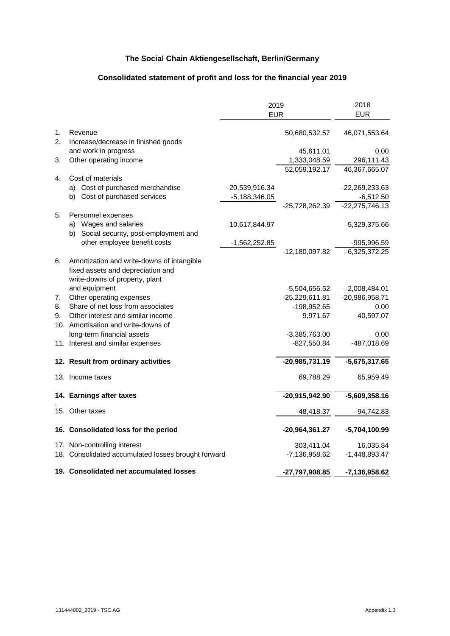#### **Consolidated statement of profit and loss for the financial year 2019**

|                      |                                                                                                                   | 2019<br><b>EUR</b> | 2018<br><b>EUR</b>               |                     |
|----------------------|-------------------------------------------------------------------------------------------------------------------|--------------------|----------------------------------|---------------------|
| $\mathbf{1}$ .<br>2. | Revenue<br>Increase/decrease in finished goods                                                                    |                    | 50,680,532.57                    | 46,071,553.64       |
| 3.                   | and work in progress<br>Other operating income                                                                    |                    | 45,611.01<br>1,333,048.59        | 0.00<br>296,111.43  |
|                      |                                                                                                                   |                    | 52,059,192.17                    | 46,367,665.07       |
| $4_{-}$              | Cost of materials<br>a) Cost of purchased merchandise                                                             | -20,539,916.34     |                                  | $-22,269,233.63$    |
|                      | b) Cost of purchased services                                                                                     | $-5,188,346.05$    |                                  | $-6,512.50$         |
|                      |                                                                                                                   |                    | -25,728,262.39                   | $-22,275,746.13$    |
| 5.                   | Personnel expenses                                                                                                |                    |                                  |                     |
|                      | a) Wages and salaries                                                                                             | -10,617,844.97     |                                  | $-5,329,375.66$     |
|                      | b) Social security, post-employment and                                                                           |                    |                                  |                     |
|                      | other employee benefit costs                                                                                      | $-1,562,252.85$    |                                  | -995,996.59         |
|                      |                                                                                                                   |                    | $-12,180,097.82$                 | $-6,325,372.25$     |
| 6.                   | Amortization and write-downs of intangible<br>fixed assets and depreciation and<br>write-downs of property, plant |                    |                                  |                     |
|                      | and equipment                                                                                                     |                    | $-5,504,656.52$                  | $-2,008,484.01$     |
| 7.                   | Other operating expenses                                                                                          |                    | $-25,229,611.81$                 | $-20,986,958.71$    |
| 8.                   | Share of net loss from associates                                                                                 |                    | -198,952.65                      | 0.00                |
| 9.                   | Other interest and similar income                                                                                 |                    | 9,971.67                         | 40,597.07           |
|                      | 10. Amortisation and write-downs of                                                                               |                    |                                  |                     |
|                      | long-term financial assets<br>11. Interest and similar expenses                                                   |                    | $-3,385,763.00$<br>$-827,550.84$ | 0.00<br>-487,018.69 |
|                      |                                                                                                                   |                    |                                  |                     |
|                      | 12. Result from ordinary activities                                                                               |                    | $-20,985,731.19$                 | $-5,675,317.65$     |
|                      | 13. Income taxes                                                                                                  |                    | 69,788.29                        | 65,959.49           |
|                      | 14. Earnings after taxes                                                                                          |                    | $-20,915,942.90$                 | $-5,609,358.16$     |
|                      | 15. Other taxes                                                                                                   |                    | $-48,418.37$                     | $-94,742.83$        |
|                      | 16. Consolidated loss for the period                                                                              |                    | -20,964,361.27                   | -5,704,100.99       |
|                      | 17. Non-controlling interest                                                                                      |                    | 303,411.04                       | 16,035.84           |
|                      | 18. Consolidated accumulated losses brought forward                                                               |                    | -7,136,958.62                    | $-1,448,893.47$     |
|                      | 19. Consolidated net accumulated losses                                                                           |                    | -27,797,908.85                   | -7,136,958.62       |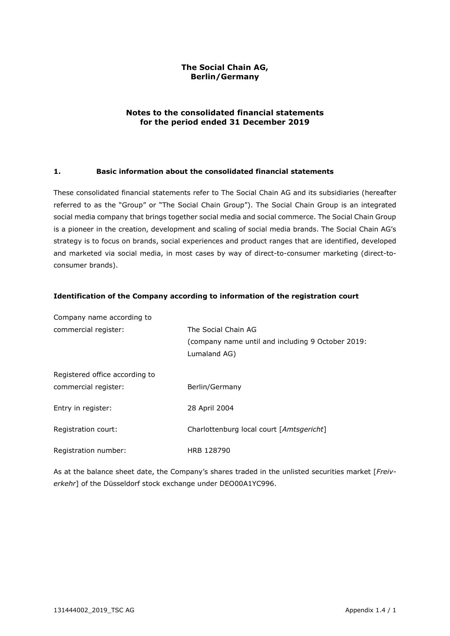#### **The Social Chain AG, Berlin/Germany**

#### **Notes to the consolidated financial statements for the period ended 31 December 2019**

#### **1. Basic information about the consolidated financial statements**

These consolidated financial statements refer to The Social Chain AG and its subsidiaries (hereafter referred to as the "Group" or "The Social Chain Group"). The Social Chain Group is an integrated social media company that brings together social media and social commerce. The Social Chain Group is a pioneer in the creation, development and scaling of social media brands. The Social Chain AG's strategy is to focus on brands, social experiences and product ranges that are identified, developed and marketed via social media, in most cases by way of direct-to-consumer marketing (direct-toconsumer brands).

| Company name according to      |                                                   |
|--------------------------------|---------------------------------------------------|
| commercial register:           | The Social Chain AG                               |
|                                | (company name until and including 9 October 2019: |
|                                | Lumaland AG)                                      |
| Registered office according to |                                                   |
|                                |                                                   |
| commercial register:           | Berlin/Germany                                    |
| Entry in register:             | 28 April 2004                                     |
|                                |                                                   |
| Registration court:            | Charlottenburg local court [Amtsgericht]          |
|                                |                                                   |
| Registration number:           | HRB 128790                                        |

#### **Identification of the Company according to information of the registration court**

As at the balance sheet date, the Company's shares traded in the unlisted securities market [*Freiverkehr*] of the Düsseldorf stock exchange under DEO00A1YC996.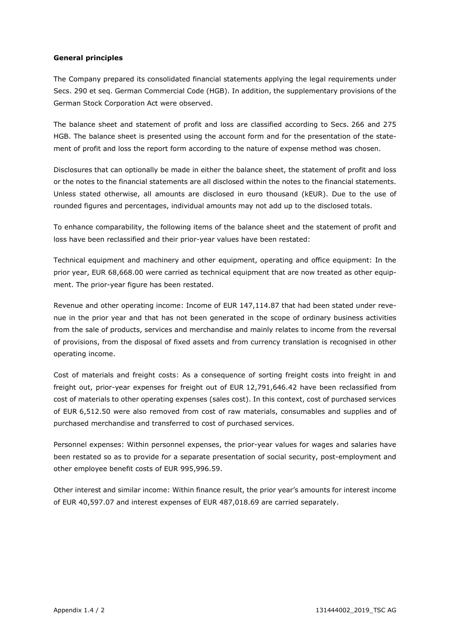#### **General principles**

The Company prepared its consolidated financial statements applying the legal requirements under Secs. 290 et seq. German Commercial Code (HGB). In addition, the supplementary provisions of the German Stock Corporation Act were observed.

The balance sheet and statement of profit and loss are classified according to Secs. 266 and 275 HGB. The balance sheet is presented using the account form and for the presentation of the statement of profit and loss the report form according to the nature of expense method was chosen.

Disclosures that can optionally be made in either the balance sheet, the statement of profit and loss or the notes to the financial statements are all disclosed within the notes to the financial statements. Unless stated otherwise, all amounts are disclosed in euro thousand (kEUR). Due to the use of rounded figures and percentages, individual amounts may not add up to the disclosed totals.

To enhance comparability, the following items of the balance sheet and the statement of profit and loss have been reclassified and their prior-year values have been restated:

Technical equipment and machinery and other equipment, operating and office equipment: In the prior year, EUR 68,668.00 were carried as technical equipment that are now treated as other equipment. The prior-year figure has been restated.

Revenue and other operating income: Income of EUR 147,114.87 that had been stated under revenue in the prior year and that has not been generated in the scope of ordinary business activities from the sale of products, services and merchandise and mainly relates to income from the reversal of provisions, from the disposal of fixed assets and from currency translation is recognised in other operating income.

Cost of materials and freight costs: As a consequence of sorting freight costs into freight in and freight out, prior-year expenses for freight out of EUR 12,791,646.42 have been reclassified from cost of materials to other operating expenses (sales cost). In this context, cost of purchased services of EUR 6,512.50 were also removed from cost of raw materials, consumables and supplies and of purchased merchandise and transferred to cost of purchased services.

Personnel expenses: Within personnel expenses, the prior-year values for wages and salaries have been restated so as to provide for a separate presentation of social security, post-employment and other employee benefit costs of EUR 995,996.59.

Other interest and similar income: Within finance result, the prior year's amounts for interest income of EUR 40,597.07 and interest expenses of EUR 487,018.69 are carried separately.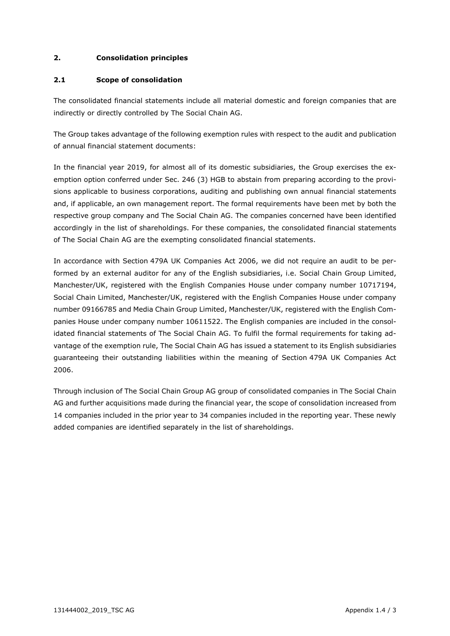#### **2. Consolidation principles**

#### **2.1 Scope of consolidation**

The consolidated financial statements include all material domestic and foreign companies that are indirectly or directly controlled by The Social Chain AG.

The Group takes advantage of the following exemption rules with respect to the audit and publication of annual financial statement documents:

In the financial year 2019, for almost all of its domestic subsidiaries, the Group exercises the exemption option conferred under Sec. 246 (3) HGB to abstain from preparing according to the provisions applicable to business corporations, auditing and publishing own annual financial statements and, if applicable, an own management report. The formal requirements have been met by both the respective group company and The Social Chain AG. The companies concerned have been identified accordingly in the list of shareholdings. For these companies, the consolidated financial statements of The Social Chain AG are the exempting consolidated financial statements.

In accordance with Section 479A UK Companies Act 2006, we did not require an audit to be performed by an external auditor for any of the English subsidiaries, i.e. Social Chain Group Limited, Manchester/UK, registered with the English Companies House under company number 10717194, Social Chain Limited, Manchester/UK, registered with the English Companies House under company number 09166785 and Media Chain Group Limited, Manchester/UK, registered with the English Companies House under company number 10611522. The English companies are included in the consolidated financial statements of The Social Chain AG. To fulfil the formal requirements for taking advantage of the exemption rule, The Social Chain AG has issued a statement to its English subsidiaries guaranteeing their outstanding liabilities within the meaning of Section 479A UK Companies Act 2006.

Through inclusion of The Social Chain Group AG group of consolidated companies in The Social Chain AG and further acquisitions made during the financial year, the scope of consolidation increased from 14 companies included in the prior year to 34 companies included in the reporting year. These newly added companies are identified separately in the list of shareholdings.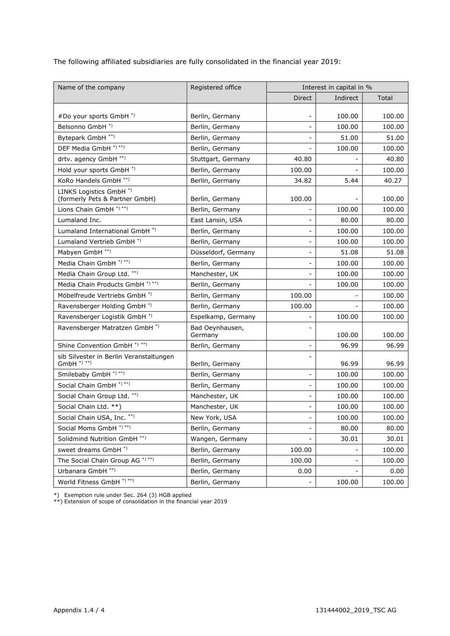The following affiliated subsidiaries are fully consolidated in the financial year 2019:

| Name of the company                                                   | Registered office          | Interest in capital in % |          |        |  |
|-----------------------------------------------------------------------|----------------------------|--------------------------|----------|--------|--|
|                                                                       |                            |                          | Indirect | Total  |  |
|                                                                       |                            |                          |          |        |  |
| #Do your sports GmbH *)                                               | Berlin, Germany            | $\overline{\phantom{a}}$ | 100.00   | 100.00 |  |
| Belsonno GmbH <sup>*)</sup>                                           | Berlin, Germany            |                          | 100.00   | 100.00 |  |
| Bytepark GmbH **)                                                     | Berlin, Germany            |                          | 51.00    | 51.00  |  |
| DEF Media GmbH *) **)                                                 | Berlin, Germany            |                          | 100.00   | 100.00 |  |
| drtv. agency GmbH **)                                                 | Stuttgart, Germany         | 40.80                    |          | 40.80  |  |
| Hold your sports GmbH *)                                              | Berlin, Germany            | 100.00                   |          | 100.00 |  |
| KoRo Handels GmbH **)                                                 | Berlin, Germany            | 34.82                    | 5.44     | 40.27  |  |
| LINKS Logistics GmbH <sup>*</sup> )<br>(formerly Pets & Partner GmbH) | Berlin, Germany            | 100.00                   |          | 100.00 |  |
| Lions Chain GmbH *)**)                                                | Berlin, Germany            |                          | 100.00   | 100.00 |  |
| Lumaland Inc.                                                         | East Lansin, USA           |                          | 80.00    | 80.00  |  |
| Lumaland International GmbH <sup>*</sup> )                            | Berlin, Germany            | -                        | 100.00   | 100.00 |  |
| Lumaland Vertrieb GmbH <sup>*</sup> )                                 | Berlin, Germany            |                          | 100.00   | 100.00 |  |
| Mabyen GmbH **)                                                       | Düsseldorf, Germany        | $\overline{\phantom{a}}$ | 51.08    | 51.08  |  |
| Media Chain GmbH *)**)                                                | Berlin, Germany            | $\overline{\phantom{a}}$ | 100.00   | 100.00 |  |
| Media Chain Group Ltd. **)                                            | Manchester, UK             |                          | 100.00   | 100.00 |  |
| Media Chain Products GmbH *) **)                                      | Berlin, Germany            |                          | 100.00   | 100.00 |  |
| Möbelfreude Vertriebs GmbH <sup>*)</sup>                              | Berlin, Germany            | 100.00                   |          | 100.00 |  |
| Ravensberger Holding GmbH <sup>*</sup> )                              | Berlin, Germany            | 100.00                   |          | 100.00 |  |
| Ravensberger Logistik GmbH <sup>*)</sup>                              | Espelkamp, Germany         | $\overline{\phantom{0}}$ | 100.00   | 100.00 |  |
| Ravensberger Matratzen GmbH <sup>*</sup> )                            | Bad Oeynhausen,<br>Germany |                          | 100.00   | 100.00 |  |
| Shine Convention GmbH <sup>*)**</sup> )                               | Berlin, Germany            | $\overline{\phantom{0}}$ | 96.99    | 96.99  |  |
| sib Silvester in Berlin Veranstaltungen<br>$GmbH$ *) **)              | Berlin, Germany            |                          | 96.99    | 96.99  |  |
| Smilebaby GmbH *) **)                                                 | Berlin, Germany            | $\overline{\phantom{a}}$ | 100.00   | 100.00 |  |
| Social Chain GmbH *) **)                                              | Berlin, Germany            | $\overline{\phantom{a}}$ | 100.00   | 100.00 |  |
| Social Chain Group Ltd. **)                                           | Manchester, UK             |                          | 100.00   | 100.00 |  |
| Social Chain Ltd. **)                                                 | Manchester, UK             |                          | 100.00   | 100.00 |  |
| Social Chain USA, Inc. ** )                                           | New York, USA              |                          | 100.00   | 100.00 |  |
| Social Moms GmbH *)**)                                                | Berlin, Germany            |                          | 80.00    | 80.00  |  |
| Solidmind Nutrition GmbH <sup>**)</sup>                               | Wangen, Germany            |                          | 30.01    | 30.01  |  |
| sweet dreams GmbH <sup>*</sup> )                                      | Berlin, Germany            | 100.00                   |          | 100.00 |  |
| The Social Chain Group AG *) **)                                      | Berlin, Germany            | 100.00                   |          | 100.00 |  |
| Urbanara GmbH <sup>**</sup> )                                         | Berlin, Germany            | 0.00                     |          | 0.00   |  |
| World Fitness GmbH *) **)                                             | Berlin, Germany            |                          | 100.00   | 100.00 |  |

\*) Exemption rule under Sec. 264 (3) HGB applied

\*\*) Extension of scope of consolidation in the financial year 2019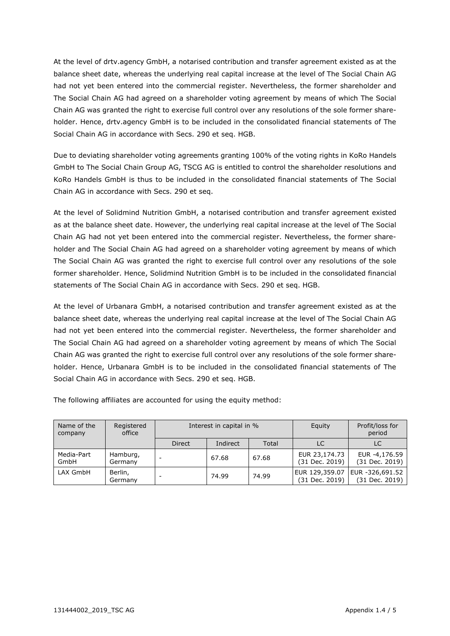At the level of drtv.agency GmbH, a notarised contribution and transfer agreement existed as at the balance sheet date, whereas the underlying real capital increase at the level of The Social Chain AG had not yet been entered into the commercial register. Nevertheless, the former shareholder and The Social Chain AG had agreed on a shareholder voting agreement by means of which The Social Chain AG was granted the right to exercise full control over any resolutions of the sole former shareholder. Hence, drtv.agency GmbH is to be included in the consolidated financial statements of The Social Chain AG in accordance with Secs. 290 et seq. HGB.

Due to deviating shareholder voting agreements granting 100% of the voting rights in KoRo Handels GmbH to The Social Chain Group AG, TSCG AG is entitled to control the shareholder resolutions and KoRo Handels GmbH is thus to be included in the consolidated financial statements of The Social Chain AG in accordance with Secs. 290 et seq.

At the level of Solidmind Nutrition GmbH, a notarised contribution and transfer agreement existed as at the balance sheet date. However, the underlying real capital increase at the level of The Social Chain AG had not yet been entered into the commercial register. Nevertheless, the former shareholder and The Social Chain AG had agreed on a shareholder voting agreement by means of which The Social Chain AG was granted the right to exercise full control over any resolutions of the sole former shareholder. Hence, Solidmind Nutrition GmbH is to be included in the consolidated financial statements of The Social Chain AG in accordance with Secs. 290 et seq. HGB.

At the level of Urbanara GmbH, a notarised contribution and transfer agreement existed as at the balance sheet date, whereas the underlying real capital increase at the level of The Social Chain AG had not yet been entered into the commercial register. Nevertheless, the former shareholder and The Social Chain AG had agreed on a shareholder voting agreement by means of which The Social Chain AG was granted the right to exercise full control over any resolutions of the sole former shareholder. Hence, Urbanara GmbH is to be included in the consolidated financial statements of The Social Chain AG in accordance with Secs. 290 et seq. HGB.

The following affiliates are accounted for using the equity method:

| Name of the<br>company | Registered<br>office | Interest in capital in % |          |       | Equity                           | Profit/loss for<br>period         |
|------------------------|----------------------|--------------------------|----------|-------|----------------------------------|-----------------------------------|
|                        |                      | <b>Direct</b>            | Indirect | Total | LC                               | LC                                |
| Media-Part<br>GmbH     | Hamburg,<br>Germany  |                          | 67.68    | 67.68 | EUR 23,174.73<br>(31 Dec. 2019)  | EUR -4,176.59<br>(31 Dec. 2019)   |
| LAX GmbH               | Berlin,<br>Germany   |                          | 74.99    | 74.99 | EUR 129,359.07<br>(31 Dec. 2019) | EUR -326,691.52<br>(31 Dec. 2019) |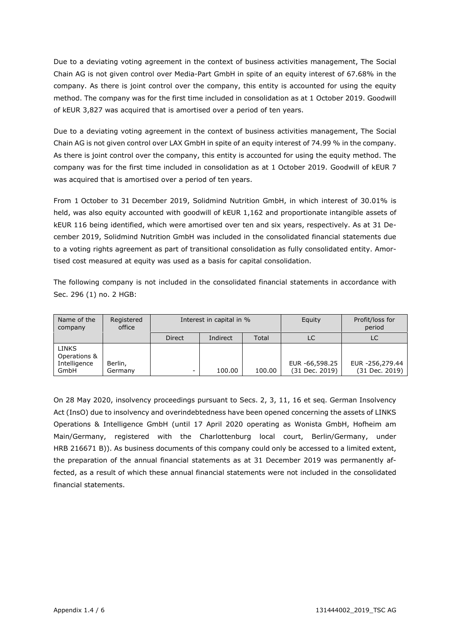Due to a deviating voting agreement in the context of business activities management, The Social Chain AG is not given control over Media-Part GmbH in spite of an equity interest of 67.68% in the company. As there is joint control over the company, this entity is accounted for using the equity method. The company was for the first time included in consolidation as at 1 October 2019. Goodwill of kEUR 3,827 was acquired that is amortised over a period of ten years.

Due to a deviating voting agreement in the context of business activities management, The Social Chain AG is not given control over LAX GmbH in spite of an equity interest of 74.99 % in the company. As there is joint control over the company, this entity is accounted for using the equity method. The company was for the first time included in consolidation as at 1 October 2019. Goodwill of kEUR 7 was acquired that is amortised over a period of ten years.

From 1 October to 31 December 2019, Solidmind Nutrition GmbH, in which interest of 30.01% is held, was also equity accounted with goodwill of kEUR 1,162 and proportionate intangible assets of kEUR 116 being identified, which were amortised over ten and six years, respectively. As at 31 December 2019, Solidmind Nutrition GmbH was included in the consolidated financial statements due to a voting rights agreement as part of transitional consolidation as fully consolidated entity. Amortised cost measured at equity was used as a basis for capital consolidation.

The following company is not included in the consolidated financial statements in accordance with Sec. 296 (1) no. 2 HGB:

| Name of the<br>company                               | Registered<br>office | Interest in capital in % |          |        | Equity                           | Profit/loss for<br>period         |
|------------------------------------------------------|----------------------|--------------------------|----------|--------|----------------------------------|-----------------------------------|
|                                                      |                      | <b>Direct</b>            | Indirect | Total  | LC                               | LC                                |
| <b>LINKS</b><br>Operations &<br>Intelligence<br>GmbH | Berlin,<br>Germany   | -                        | 100.00   | 100.00 | EUR -66,598.25<br>(31 Dec. 2019) | EUR -256,279.44<br>(31 Dec. 2019) |

On 28 May 2020, insolvency proceedings pursuant to Secs. 2, 3, 11, 16 et seq. German Insolvency Act (InsO) due to insolvency and overindebtedness have been opened concerning the assets of LINKS Operations & Intelligence GmbH (until 17 April 2020 operating as Wonista GmbH, Hofheim am Main/Germany, registered with the Charlottenburg local court, Berlin/Germany, under HRB 216671 B)). As business documents of this company could only be accessed to a limited extent, the preparation of the annual financial statements as at 31 December 2019 was permanently affected, as a result of which these annual financial statements were not included in the consolidated financial statements.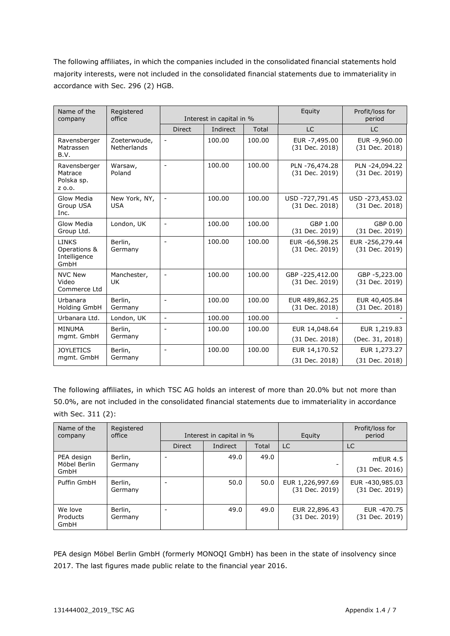The following affiliates, in which the companies included in the consolidated financial statements hold majority interests, were not included in the consolidated financial statements due to immateriality in accordance with Sec. 296 (2) HGB.

| Name of the<br>company                               | Registered<br>office               | Interest in capital in % |          | Equity | Profit/loss for<br>period         |                                   |
|------------------------------------------------------|------------------------------------|--------------------------|----------|--------|-----------------------------------|-----------------------------------|
|                                                      |                                    | <b>Direct</b>            | Indirect | Total  | <b>LC</b>                         | LC                                |
| Ravensberger<br>Matrassen<br>B.V.                    | Zoeterwoude,<br><b>Netherlands</b> |                          | 100.00   | 100.00 | EUR -7,495.00<br>(31 Dec. 2018)   | EUR -9,960.00<br>(31 Dec. 2018)   |
| Ravensberger<br>Matrace<br>Polska sp.<br>Z 0.0.      | Warsaw,<br>Poland                  | $\overline{\phantom{a}}$ | 100.00   | 100.00 | PLN -76,474.28<br>(31 Dec. 2019)  | PLN -24,094.22<br>(31 Dec. 2019)  |
| Glow Media<br>Group USA<br>Inc.                      | New York, NY,<br><b>USA</b>        |                          | 100.00   | 100.00 | USD -727,791.45<br>(31 Dec. 2018) | USD -273,453.02<br>(31 Dec. 2018) |
| Glow Media<br>Group Ltd.                             | London, UK                         | $\blacksquare$           | 100.00   | 100.00 | GBP 1.00<br>(31 Dec. 2019)        | GBP 0.00<br>(31 Dec. 2019)        |
| <b>LINKS</b><br>Operations &<br>Intelligence<br>GmbH | Berlin,<br>Germany                 | $\blacksquare$           | 100.00   | 100.00 | EUR -66,598.25<br>(31 Dec. 2019)  | EUR -256,279.44<br>(31 Dec. 2019) |
| <b>NVC New</b><br>Video<br>Commerce Ltd              | Manchester,<br>UK.                 | $\blacksquare$           | 100.00   | 100.00 | GBP -225,412.00<br>(31 Dec. 2019) | GBP -5,223.00<br>(31 Dec. 2019)   |
| Urbanara<br><b>Holding GmbH</b>                      | Berlin,<br>Germany                 | $\overline{\phantom{0}}$ | 100.00   | 100.00 | EUR 489,862.25<br>(31 Dec. 2018)  | EUR 40,405.84<br>(31 Dec. 2018)   |
| Urbanara Ltd.                                        | London, UK                         | $\blacksquare$           | 100.00   | 100.00 |                                   |                                   |
| <b>MINUMA</b>                                        | Berlin,                            |                          | 100.00   | 100.00 | EUR 14,048.64                     | EUR 1,219.83                      |
| mgmt. GmbH                                           | Germany                            |                          |          |        | (31 Dec. 2018)                    | (Dec. 31, 2018)                   |
| <b>JOYLETICS</b>                                     | Berlin,                            | $\overline{\phantom{a}}$ | 100.00   | 100.00 | EUR 14,170.52                     | EUR 1,273.27                      |
| mgmt. GmbH                                           | Germany                            |                          |          |        | (31 Dec. 2018)                    | (31 Dec. 2018)                    |

The following affiliates, in which TSC AG holds an interest of more than 20.0% but not more than 50.0%, are not included in the consolidated financial statements due to immateriality in accordance with Sec. 311 (2):

| Name of the<br>company             | Registered<br>office | Interest in capital in % |          |       | Equity                             | Profit/loss for<br>period         |
|------------------------------------|----------------------|--------------------------|----------|-------|------------------------------------|-----------------------------------|
|                                    |                      | <b>Direct</b>            | Indirect | Total | LC                                 | LC                                |
| PEA design<br>Möbel Berlin<br>GmbH | Berlin,<br>Germany   |                          | 49.0     | 49.0  |                                    | $mEUR$ 4.5<br>(31 Dec. 2016)      |
| Puffin GmbH                        | Berlin,<br>Germany   |                          | 50.0     | 50.0  | EUR 1,226,997.69<br>(31 Dec. 2019) | EUR -430,985.03<br>(31 Dec. 2019) |
| We love<br>Products<br>GmbH        | Berlin,<br>Germany   |                          | 49.0     | 49.0  | EUR 22,896.43<br>(31 Dec. 2019)    | EUR -470.75<br>(31 Dec. 2019)     |

PEA design Möbel Berlin GmbH (formerly MONOQI GmbH) has been in the state of insolvency since 2017. The last figures made public relate to the financial year 2016.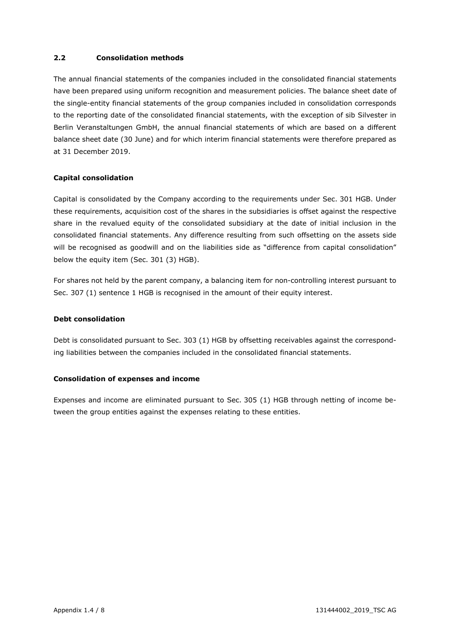#### **2.2 Consolidation methods**

The annual financial statements of the companies included in the consolidated financial statements have been prepared using uniform recognition and measurement policies. The balance sheet date of the single-entity financial statements of the group companies included in consolidation corresponds to the reporting date of the consolidated financial statements, with the exception of sib Silvester in Berlin Veranstaltungen GmbH, the annual financial statements of which are based on a different balance sheet date (30 June) and for which interim financial statements were therefore prepared as at 31 December 2019.

#### **Capital consolidation**

Capital is consolidated by the Company according to the requirements under Sec. 301 HGB. Under these requirements, acquisition cost of the shares in the subsidiaries is offset against the respective share in the revalued equity of the consolidated subsidiary at the date of initial inclusion in the consolidated financial statements. Any difference resulting from such offsetting on the assets side will be recognised as goodwill and on the liabilities side as "difference from capital consolidation" below the equity item (Sec. 301 (3) HGB).

For shares not held by the parent company, a balancing item for non-controlling interest pursuant to Sec. 307 (1) sentence 1 HGB is recognised in the amount of their equity interest.

#### **Debt consolidation**

Debt is consolidated pursuant to Sec. 303 (1) HGB by offsetting receivables against the corresponding liabilities between the companies included in the consolidated financial statements.

#### **Consolidation of expenses and income**

Expenses and income are eliminated pursuant to Sec. 305 (1) HGB through netting of income between the group entities against the expenses relating to these entities.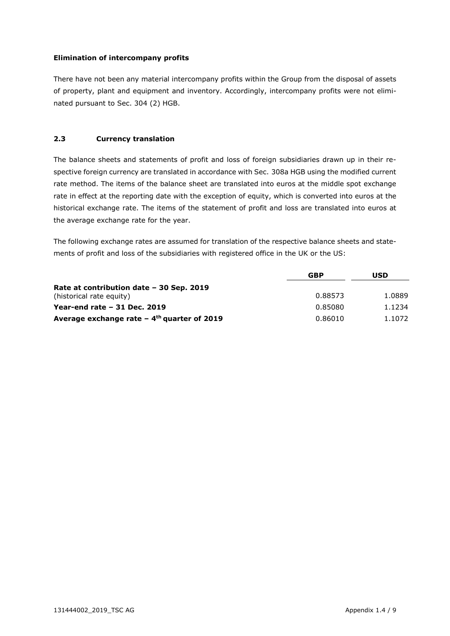#### **Elimination of intercompany profits**

There have not been any material intercompany profits within the Group from the disposal of assets of property, plant and equipment and inventory. Accordingly, intercompany profits were not eliminated pursuant to Sec. 304 (2) HGB.

#### **2.3 Currency translation**

The balance sheets and statements of profit and loss of foreign subsidiaries drawn up in their respective foreign currency are translated in accordance with Sec. 308a HGB using the modified current rate method. The items of the balance sheet are translated into euros at the middle spot exchange rate in effect at the reporting date with the exception of equity, which is converted into euros at the historical exchange rate. The items of the statement of profit and loss are translated into euros at the average exchange rate for the year.

The following exchange rates are assumed for translation of the respective balance sheets and statements of profit and loss of the subsidiaries with registered office in the UK or the US:

|                                                          | <b>GBP</b> | USD    |
|----------------------------------------------------------|------------|--------|
| Rate at contribution date - 30 Sep. 2019                 |            |        |
| (historical rate equity)                                 | 0.88573    | 1.0889 |
| Year-end rate $-31$ Dec. 2019                            | 0.85080    | 1.1234 |
| Average exchange rate $-4$ <sup>th</sup> quarter of 2019 | 0.86010    | 1.1072 |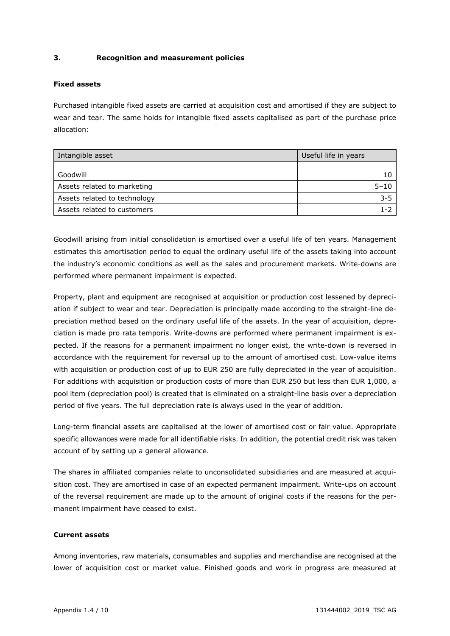#### **3. Recognition and measurement policies**

#### **Fixed assets**

Purchased intangible fixed assets are carried at acquisition cost and amortised if they are subject to wear and tear. The same holds for intangible fixed assets capitalised as part of the purchase price allocation:

| Intangible asset             | Useful life in years |
|------------------------------|----------------------|
|                              |                      |
| Goodwill                     | 10                   |
| Assets related to marketing  | $5 - 10$             |
| Assets related to technology | $3 - 5$              |
| Assets related to customers  | 1-2                  |

Goodwill arising from initial consolidation is amortised over a useful life of ten years. Management estimates this amortisation period to equal the ordinary useful life of the assets taking into account the industry's economic conditions as well as the sales and procurement markets. Write-downs are performed where permanent impairment is expected.

Property, plant and equipment are recognised at acquisition or production cost lessened by depreciation if subject to wear and tear. Depreciation is principally made according to the straight-line depreciation method based on the ordinary useful life of the assets. In the year of acquisition, depreciation is made pro rata temporis. Write-downs are performed where permanent impairment is expected. If the reasons for a permanent impairment no longer exist, the write-down is reversed in accordance with the requirement for reversal up to the amount of amortised cost. Low-value items with acquisition or production cost of up to EUR 250 are fully depreciated in the year of acquisition. For additions with acquisition or production costs of more than EUR 250 but less than EUR 1,000, a pool item (depreciation pool) is created that is eliminated on a straight-line basis over a depreciation period of five years. The full depreciation rate is always used in the year of addition.

Long-term financial assets are capitalised at the lower of amortised cost or fair value. Appropriate specific allowances were made for all identifiable risks. In addition, the potential credit risk was taken account of by setting up a general allowance.

The shares in affiliated companies relate to unconsolidated subsidiaries and are measured at acquisition cost. They are amortised in case of an expected permanent impairment. Write-ups on account of the reversal requirement are made up to the amount of original costs if the reasons for the permanent impairment have ceased to exist.

#### **Current assets**

Among inventories, raw materials, consumables and supplies and merchandise are recognised at the lower of acquisition cost or market value. Finished goods and work in progress are measured at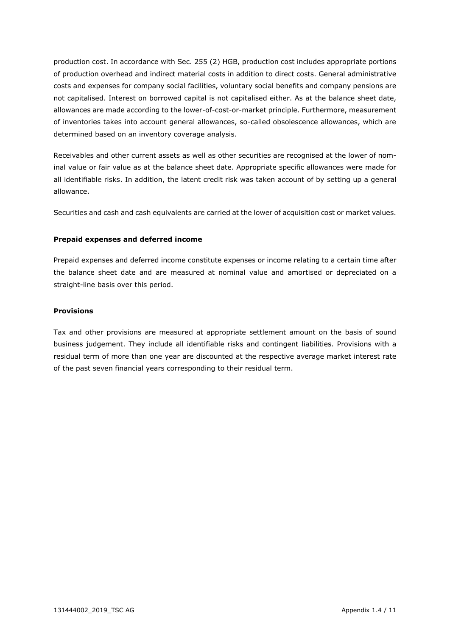production cost. In accordance with Sec. 255 (2) HGB, production cost includes appropriate portions of production overhead and indirect material costs in addition to direct costs. General administrative costs and expenses for company social facilities, voluntary social benefits and company pensions are not capitalised. Interest on borrowed capital is not capitalised either. As at the balance sheet date, allowances are made according to the lower-of-cost-or-market principle. Furthermore, measurement of inventories takes into account general allowances, so-called obsolescence allowances, which are determined based on an inventory coverage analysis.

Receivables and other current assets as well as other securities are recognised at the lower of nominal value or fair value as at the balance sheet date. Appropriate specific allowances were made for all identifiable risks. In addition, the latent credit risk was taken account of by setting up a general allowance.

Securities and cash and cash equivalents are carried at the lower of acquisition cost or market values.

#### **Prepaid expenses and deferred income**

Prepaid expenses and deferred income constitute expenses or income relating to a certain time after the balance sheet date and are measured at nominal value and amortised or depreciated on a straight-line basis over this period.

#### **Provisions**

Tax and other provisions are measured at appropriate settlement amount on the basis of sound business judgement. They include all identifiable risks and contingent liabilities. Provisions with a residual term of more than one year are discounted at the respective average market interest rate of the past seven financial years corresponding to their residual term.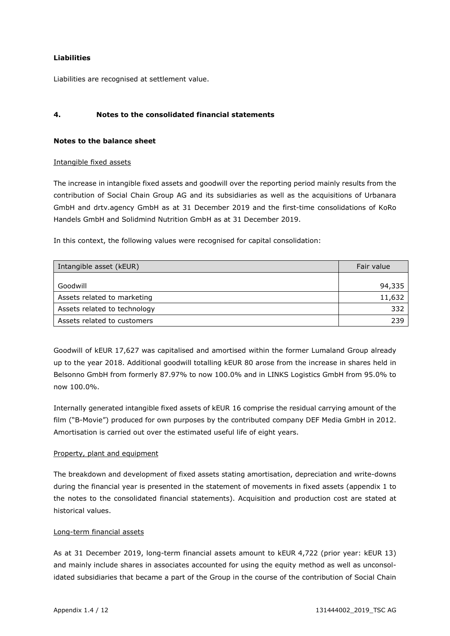#### **Liabilities**

Liabilities are recognised at settlement value.

#### **4. Notes to the consolidated financial statements**

#### **Notes to the balance sheet**

#### Intangible fixed assets

The increase in intangible fixed assets and goodwill over the reporting period mainly results from the contribution of Social Chain Group AG and its subsidiaries as well as the acquisitions of Urbanara GmbH and drtv.agency GmbH as at 31 December 2019 and the first-time consolidations of KoRo Handels GmbH and Solidmind Nutrition GmbH as at 31 December 2019.

In this context, the following values were recognised for capital consolidation:

| Intangible asset (kEUR)      | Fair value |
|------------------------------|------------|
|                              |            |
| Goodwill                     | 94,335     |
| Assets related to marketing  | 11,632     |
| Assets related to technology | 332        |
| Assets related to customers  | 239        |

Goodwill of kEUR 17,627 was capitalised and amortised within the former Lumaland Group already up to the year 2018. Additional goodwill totalling kEUR 80 arose from the increase in shares held in Belsonno GmbH from formerly 87.97% to now 100.0% and in LINKS Logistics GmbH from 95.0% to now 100.0%.

Internally generated intangible fixed assets of kEUR 16 comprise the residual carrying amount of the film ("B-Movie") produced for own purposes by the contributed company DEF Media GmbH in 2012. Amortisation is carried out over the estimated useful life of eight years.

#### Property, plant and equipment

The breakdown and development of fixed assets stating amortisation, depreciation and write-downs during the financial year is presented in the statement of movements in fixed assets (appendix 1 to the notes to the consolidated financial statements). Acquisition and production cost are stated at historical values.

#### Long-term financial assets

As at 31 December 2019, long-term financial assets amount to kEUR 4,722 (prior year: kEUR 13) and mainly include shares in associates accounted for using the equity method as well as unconsolidated subsidiaries that became a part of the Group in the course of the contribution of Social Chain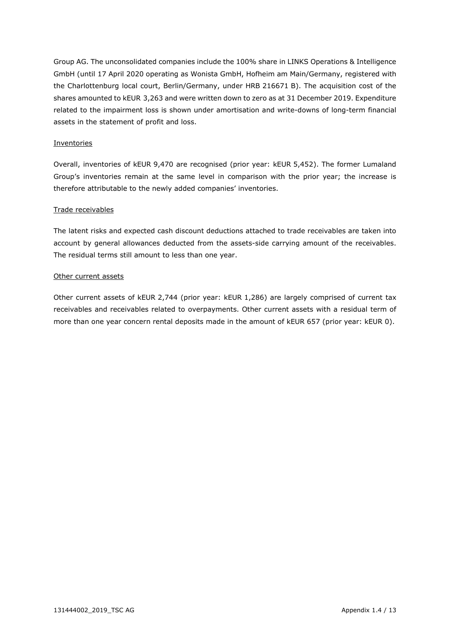Group AG. The unconsolidated companies include the 100% share in LINKS Operations & Intelligence GmbH (until 17 April 2020 operating as Wonista GmbH, Hofheim am Main/Germany, registered with the Charlottenburg local court, Berlin/Germany, under HRB 216671 B). The acquisition cost of the shares amounted to kEUR 3,263 and were written down to zero as at 31 December 2019. Expenditure related to the impairment loss is shown under amortisation and write-downs of long-term financial assets in the statement of profit and loss.

#### **Inventories**

Overall, inventories of kEUR 9,470 are recognised (prior year: kEUR 5,452). The former Lumaland Group's inventories remain at the same level in comparison with the prior year; the increase is therefore attributable to the newly added companies' inventories.

#### Trade receivables

The latent risks and expected cash discount deductions attached to trade receivables are taken into account by general allowances deducted from the assets-side carrying amount of the receivables. The residual terms still amount to less than one year.

#### Other current assets

Other current assets of kEUR 2,744 (prior year: kEUR 1,286) are largely comprised of current tax receivables and receivables related to overpayments. Other current assets with a residual term of more than one year concern rental deposits made in the amount of kEUR 657 (prior year: kEUR 0).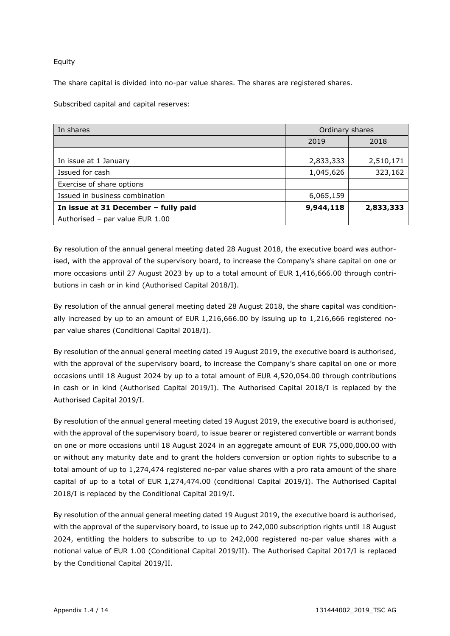#### Equity

The share capital is divided into no-par value shares. The shares are registered shares.

Subscribed capital and capital reserves:

| In shares                            | Ordinary shares |           |
|--------------------------------------|-----------------|-----------|
|                                      | 2019            | 2018      |
| In issue at 1 January                | 2,833,333       | 2,510,171 |
| Issued for cash                      | 1,045,626       | 323,162   |
| Exercise of share options            |                 |           |
| Issued in business combination       | 6,065,159       |           |
| In issue at 31 December - fully paid | 9,944,118       | 2,833,333 |
| Authorised - par value EUR 1.00      |                 |           |

By resolution of the annual general meeting dated 28 August 2018, the executive board was authorised, with the approval of the supervisory board, to increase the Company's share capital on one or more occasions until 27 August 2023 by up to a total amount of EUR 1,416,666.00 through contributions in cash or in kind (Authorised Capital 2018/I).

By resolution of the annual general meeting dated 28 August 2018, the share capital was conditionally increased by up to an amount of EUR 1,216,666.00 by issuing up to 1,216,666 registered nopar value shares (Conditional Capital 2018/I).

By resolution of the annual general meeting dated 19 August 2019, the executive board is authorised, with the approval of the supervisory board, to increase the Company's share capital on one or more occasions until 18 August 2024 by up to a total amount of EUR 4,520,054.00 through contributions in cash or in kind (Authorised Capital 2019/I). The Authorised Capital 2018/I is replaced by the Authorised Capital 2019/I.

By resolution of the annual general meeting dated 19 August 2019, the executive board is authorised, with the approval of the supervisory board, to issue bearer or registered convertible or warrant bonds on one or more occasions until 18 August 2024 in an aggregate amount of EUR 75,000,000.00 with or without any maturity date and to grant the holders conversion or option rights to subscribe to a total amount of up to 1,274,474 registered no-par value shares with a pro rata amount of the share capital of up to a total of EUR 1,274,474.00 (conditional Capital 2019/I). The Authorised Capital 2018/I is replaced by the Conditional Capital 2019/I.

By resolution of the annual general meeting dated 19 August 2019, the executive board is authorised, with the approval of the supervisory board, to issue up to 242,000 subscription rights until 18 August 2024, entitling the holders to subscribe to up to 242,000 registered no-par value shares with a notional value of EUR 1.00 (Conditional Capital 2019/II). The Authorised Capital 2017/I is replaced by the Conditional Capital 2019/II.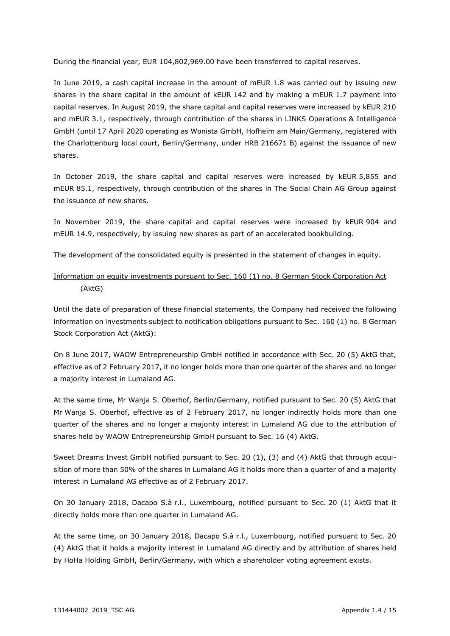During the financial year, EUR 104,802,969.00 have been transferred to capital reserves.

In June 2019, a cash capital increase in the amount of mEUR 1.8 was carried out by issuing new shares in the share capital in the amount of kEUR 142 and by making a mEUR 1.7 payment into capital reserves. In August 2019, the share capital and capital reserves were increased by kEUR 210 and mEUR 3.1, respectively, through contribution of the shares in LINKS Operations & Intelligence GmbH (until 17 April 2020 operating as Wonista GmbH, Hofheim am Main/Germany, registered with the Charlottenburg local court, Berlin/Germany, under HRB 216671 B) against the issuance of new shares.

In October 2019, the share capital and capital reserves were increased by kEUR 5,855 and mEUR 85.1, respectively, through contribution of the shares in The Social Chain AG Group against the issuance of new shares.

In November 2019, the share capital and capital reserves were increased by kEUR 904 and mEUR 14.9, respectively, by issuing new shares as part of an accelerated bookbuilding.

The development of the consolidated equity is presented in the statement of changes in equity.

#### Information on equity investments pursuant to Sec. 160 (1) no. 8 German Stock Corporation Act (AktG)

Until the date of preparation of these financial statements, the Company had received the following information on investments subject to notification obligations pursuant to Sec. 160 (1) no. 8 German Stock Corporation Act (AktG):

On 8 June 2017, WAOW Entrepreneurship GmbH notified in accordance with Sec. 20 (5) AktG that, effective as of 2 February 2017, it no longer holds more than one quarter of the shares and no longer a majority interest in Lumaland AG.

At the same time, Mr Wanja S. Oberhof, Berlin/Germany, notified pursuant to Sec. 20 (5) AktG that Mr Wanja S. Oberhof, effective as of 2 February 2017, no longer indirectly holds more than one quarter of the shares and no longer a majority interest in Lumaland AG due to the attribution of shares held by WAOW Entrepreneurship GmbH pursuant to Sec. 16 (4) AktG.

Sweet Dreams Invest GmbH notified pursuant to Sec. 20 (1), (3) and (4) AktG that through acquisition of more than 50% of the shares in Lumaland AG it holds more than a quarter of and a majority interest in Lumaland AG effective as of 2 February 2017.

On 30 January 2018, Dacapo S.à r.l., Luxembourg, notified pursuant to Sec. 20 (1) AktG that it directly holds more than one quarter in Lumaland AG.

At the same time, on 30 January 2018, Dacapo S.à r.l., Luxembourg, notified pursuant to Sec. 20 (4) AktG that it holds a majority interest in Lumaland AG directly and by attribution of shares held by HoHa Holding GmbH, Berlin/Germany, with which a shareholder voting agreement exists.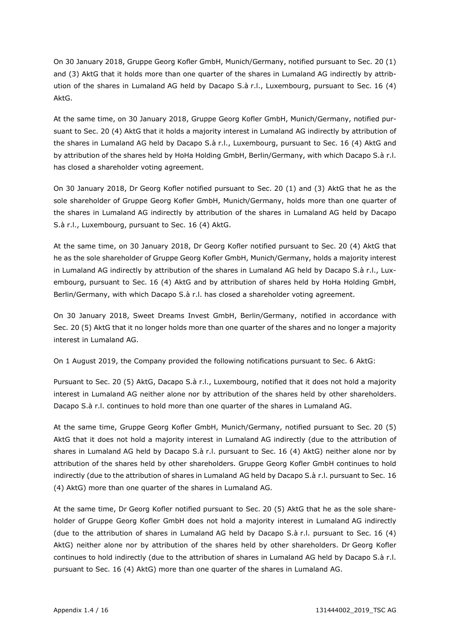On 30 January 2018, Gruppe Georg Kofler GmbH, Munich/Germany, notified pursuant to Sec. 20 (1) and (3) AktG that it holds more than one quarter of the shares in Lumaland AG indirectly by attribution of the shares in Lumaland AG held by Dacapo S.à r.l., Luxembourg, pursuant to Sec. 16 (4) AktG.

At the same time, on 30 January 2018, Gruppe Georg Kofler GmbH, Munich/Germany, notified pursuant to Sec. 20 (4) AktG that it holds a majority interest in Lumaland AG indirectly by attribution of the shares in Lumaland AG held by Dacapo S.à r.l., Luxembourg, pursuant to Sec. 16 (4) AktG and by attribution of the shares held by HoHa Holding GmbH, Berlin/Germany, with which Dacapo S.à r.l. has closed a shareholder voting agreement.

On 30 January 2018, Dr Georg Kofler notified pursuant to Sec. 20 (1) and (3) AktG that he as the sole shareholder of Gruppe Georg Kofler GmbH, Munich/Germany, holds more than one quarter of the shares in Lumaland AG indirectly by attribution of the shares in Lumaland AG held by Dacapo S.à r.l., Luxembourg, pursuant to Sec. 16 (4) AktG.

At the same time, on 30 January 2018, Dr Georg Kofler notified pursuant to Sec. 20 (4) AktG that he as the sole shareholder of Gruppe Georg Kofler GmbH, Munich/Germany, holds a majority interest in Lumaland AG indirectly by attribution of the shares in Lumaland AG held by Dacapo S.à r.l., Luxembourg, pursuant to Sec. 16 (4) AktG and by attribution of shares held by HoHa Holding GmbH, Berlin/Germany, with which Dacapo S.à r.l. has closed a shareholder voting agreement.

On 30 January 2018, Sweet Dreams Invest GmbH, Berlin/Germany, notified in accordance with Sec. 20 (5) AktG that it no longer holds more than one quarter of the shares and no longer a majority interest in Lumaland AG.

On 1 August 2019, the Company provided the following notifications pursuant to Sec. 6 AktG:

Pursuant to Sec. 20 (5) AktG, Dacapo S.à r.l., Luxembourg, notified that it does not hold a majority interest in Lumaland AG neither alone nor by attribution of the shares held by other shareholders. Dacapo S.à r.l. continues to hold more than one quarter of the shares in Lumaland AG.

At the same time, Gruppe Georg Kofler GmbH, Munich/Germany, notified pursuant to Sec. 20 (5) AktG that it does not hold a majority interest in Lumaland AG indirectly (due to the attribution of shares in Lumaland AG held by Dacapo S.à r.l. pursuant to Sec. 16 (4) AktG) neither alone nor by attribution of the shares held by other shareholders. Gruppe Georg Kofler GmbH continues to hold indirectly (due to the attribution of shares in Lumaland AG held by Dacapo S.à r.l. pursuant to Sec. 16 (4) AktG) more than one quarter of the shares in Lumaland AG.

At the same time, Dr Georg Kofler notified pursuant to Sec. 20 (5) AktG that he as the sole shareholder of Gruppe Georg Kofler GmbH does not hold a majority interest in Lumaland AG indirectly (due to the attribution of shares in Lumaland AG held by Dacapo S.à r.l. pursuant to Sec. 16 (4) AktG) neither alone nor by attribution of the shares held by other shareholders. Dr Georg Kofler continues to hold indirectly (due to the attribution of shares in Lumaland AG held by Dacapo S.à r.l. pursuant to Sec. 16 (4) AktG) more than one quarter of the shares in Lumaland AG.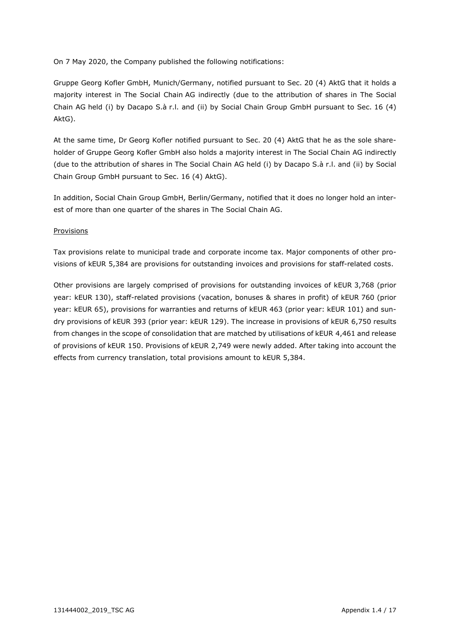On 7 May 2020, the Company published the following notifications:

Gruppe Georg Kofler GmbH, Munich/Germany, notified pursuant to Sec. 20 (4) AktG that it holds a majority interest in The Social Chain AG indirectly (due to the attribution of shares in The Social Chain AG held (i) by Dacapo S.à r.l. and (ii) by Social Chain Group GmbH pursuant to Sec. 16 (4) AktG).

At the same time, Dr Georg Kofler notified pursuant to Sec. 20 (4) AktG that he as the sole shareholder of Gruppe Georg Kofler GmbH also holds a majority interest in The Social Chain AG indirectly (due to the attribution of shares in The Social Chain AG held (i) by Dacapo S.à r.l. and (ii) by Social Chain Group GmbH pursuant to Sec. 16 (4) AktG).

In addition, Social Chain Group GmbH, Berlin/Germany, notified that it does no longer hold an interest of more than one quarter of the shares in The Social Chain AG.

#### Provisions

Tax provisions relate to municipal trade and corporate income tax. Major components of other provisions of kEUR 5,384 are provisions for outstanding invoices and provisions for staff-related costs.

Other provisions are largely comprised of provisions for outstanding invoices of kEUR 3,768 (prior year: kEUR 130), staff-related provisions (vacation, bonuses & shares in profit) of kEUR 760 (prior year: kEUR 65), provisions for warranties and returns of kEUR 463 (prior year: kEUR 101) and sundry provisions of kEUR 393 (prior year: kEUR 129). The increase in provisions of kEUR 6,750 results from changes in the scope of consolidation that are matched by utilisations of kEUR 4,461 and release of provisions of kEUR 150. Provisions of kEUR 2,749 were newly added. After taking into account the effects from currency translation, total provisions amount to kEUR 5,384.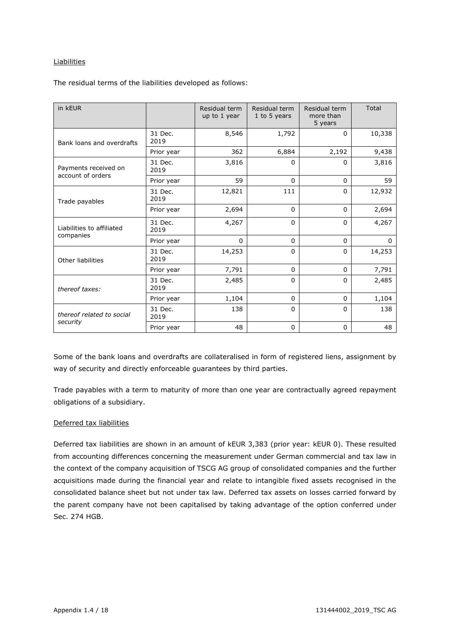#### Liabilities

The residual terms of the liabilities developed as follows:

| in kEUR                                   |                                                                                                                                                                                                                                                                                                                                                               | Residual term<br>up to 1 year                                                                        | Residual term<br>1 to 5 years | Residual term<br>more than<br>5 years | Total  |
|-------------------------------------------|---------------------------------------------------------------------------------------------------------------------------------------------------------------------------------------------------------------------------------------------------------------------------------------------------------------------------------------------------------------|------------------------------------------------------------------------------------------------------|-------------------------------|---------------------------------------|--------|
| Bank loans and overdrafts                 | 31 Dec.<br>2019                                                                                                                                                                                                                                                                                                                                               | 8,546                                                                                                | 1,792                         | $\mathbf{0}$                          | 10,338 |
|                                           | Prior year                                                                                                                                                                                                                                                                                                                                                    | 362                                                                                                  | 6,884                         | 2,192                                 | 9,438  |
| Payments received on<br>account of orders | 31 Dec.<br>2019                                                                                                                                                                                                                                                                                                                                               | 3,816                                                                                                | $\mathbf{0}$                  | $\mathbf{0}$                          | 3,816  |
|                                           | Prior year                                                                                                                                                                                                                                                                                                                                                    | 59<br>$\mathbf{0}$<br>$\Omega$<br>111<br>12,821<br>$\mathbf{0}$<br>2,694<br>$\mathbf{0}$<br>$\Omega$ | 59                            |                                       |        |
| Trade payables                            | 31 Dec.<br>2019                                                                                                                                                                                                                                                                                                                                               |                                                                                                      |                               |                                       | 12,932 |
|                                           | Prior year                                                                                                                                                                                                                                                                                                                                                    |                                                                                                      |                               |                                       | 2,694  |
| Liabilities to affiliated                 | 31 Dec.<br>2019                                                                                                                                                                                                                                                                                                                                               | 4,267                                                                                                | $\Omega$                      | $\Omega$                              | 4,267  |
| companies                                 | $\Omega$<br>$\Omega$<br>$\Omega$<br>Prior year<br>14,253<br>31 Dec.<br>$\mathbf{0}$<br>$\mathbf{0}$<br>2019<br>7,791<br>$\Omega$<br>Prior year<br>$\mathbf{0}$<br>31 Dec.<br>2,485<br>$\Omega$<br>$\mathbf{0}$<br>2019<br>1,104<br>$\Omega$<br>$\Omega$<br>Prior year<br>31 Dec.<br>138<br>$\mathbf{0}$<br>$\mathbf{0}$<br>2019<br>48<br>$\Omega$<br>$\Omega$ | $\Omega$                                                                                             |                               |                                       |        |
| Other liabilities                         |                                                                                                                                                                                                                                                                                                                                                               |                                                                                                      |                               |                                       | 14,253 |
|                                           |                                                                                                                                                                                                                                                                                                                                                               |                                                                                                      |                               |                                       | 7,791  |
| thereof taxes:                            |                                                                                                                                                                                                                                                                                                                                                               |                                                                                                      |                               |                                       | 2,485  |
|                                           |                                                                                                                                                                                                                                                                                                                                                               |                                                                                                      |                               |                                       | 1,104  |
| thereof related to social                 |                                                                                                                                                                                                                                                                                                                                                               |                                                                                                      |                               |                                       | 138    |
| security                                  | Prior year                                                                                                                                                                                                                                                                                                                                                    |                                                                                                      |                               |                                       | 48     |

Some of the bank loans and overdrafts are collateralised in form of registered liens, assignment by way of security and directly enforceable guarantees by third parties.

Trade payables with a term to maturity of more than one year are contractually agreed repayment obligations of a subsidiary.

#### Deferred tax liabilities

Deferred tax liabilities are shown in an amount of kEUR 3,383 (prior year: kEUR 0). These resulted from accounting differences concerning the measurement under German commercial and tax law in the context of the company acquisition of TSCG AG group of consolidated companies and the further acquisitions made during the financial year and relate to intangible fixed assets recognised in the consolidated balance sheet but not under tax law. Deferred tax assets on losses carried forward by the parent company have not been capitalised by taking advantage of the option conferred under Sec. 274 HGB.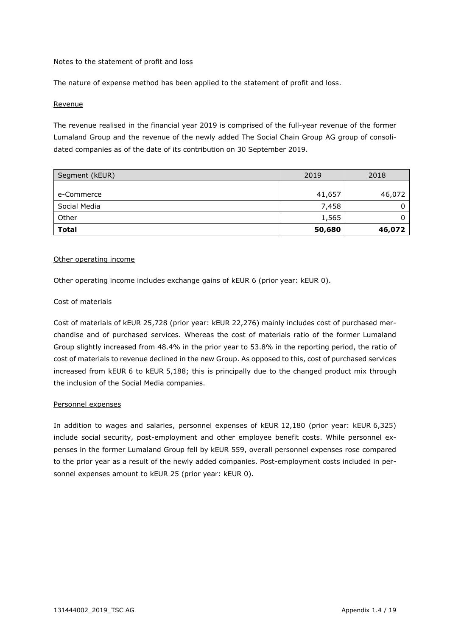#### Notes to the statement of profit and loss

The nature of expense method has been applied to the statement of profit and loss.

#### Revenue

The revenue realised in the financial year 2019 is comprised of the full-year revenue of the former Lumaland Group and the revenue of the newly added The Social Chain Group AG group of consolidated companies as of the date of its contribution on 30 September 2019.

| Segment (kEUR) | 2019   | 2018   |
|----------------|--------|--------|
|                |        |        |
| e-Commerce     | 41,657 | 46,072 |
| Social Media   | 7,458  | 0      |
| Other          | 1,565  |        |
| <b>Total</b>   | 50,680 | 46,072 |

#### Other operating income

Other operating income includes exchange gains of kEUR 6 (prior year: kEUR 0).

#### Cost of materials

Cost of materials of kEUR 25,728 (prior year: kEUR 22,276) mainly includes cost of purchased merchandise and of purchased services. Whereas the cost of materials ratio of the former Lumaland Group slightly increased from 48.4% in the prior year to 53.8% in the reporting period, the ratio of cost of materials to revenue declined in the new Group. As opposed to this, cost of purchased services increased from kEUR 6 to kEUR 5,188; this is principally due to the changed product mix through the inclusion of the Social Media companies.

#### Personnel expenses

In addition to wages and salaries, personnel expenses of kEUR 12,180 (prior year: kEUR 6,325) include social security, post-employment and other employee benefit costs. While personnel expenses in the former Lumaland Group fell by kEUR 559, overall personnel expenses rose compared to the prior year as a result of the newly added companies. Post-employment costs included in personnel expenses amount to kEUR 25 (prior year: kEUR 0).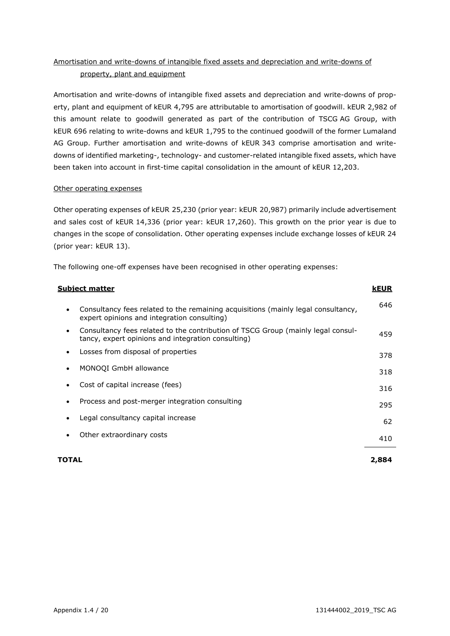### Amortisation and write-downs of intangible fixed assets and depreciation and write-downs of property, plant and equipment

Amortisation and write-downs of intangible fixed assets and depreciation and write-downs of property, plant and equipment of kEUR 4,795 are attributable to amortisation of goodwill. kEUR 2,982 of this amount relate to goodwill generated as part of the contribution of TSCG AG Group, with kEUR 696 relating to write-downs and kEUR 1,795 to the continued goodwill of the former Lumaland AG Group. Further amortisation and write-downs of kEUR 343 comprise amortisation and writedowns of identified marketing-, technology- and customer-related intangible fixed assets, which have been taken into account in first-time capital consolidation in the amount of kEUR 12,203.

#### Other operating expenses

Other operating expenses of kEUR 25,230 (prior year: kEUR 20,987) primarily include advertisement and sales cost of kEUR 14,336 (prior year: kEUR 17,260). This growth on the prior year is due to changes in the scope of consolidation. Other operating expenses include exchange losses of kEUR 24 (prior year: kEUR 13).

The following one-off expenses have been recognised in other operating expenses:

| <u>Subject matter</u>                                                                                                                  | <b>kEUR</b> |
|----------------------------------------------------------------------------------------------------------------------------------------|-------------|
| Consultancy fees related to the remaining acquisitions (mainly legal consultancy,<br>expert opinions and integration consulting)       | 646         |
| Consultancy fees related to the contribution of TSCG Group (mainly legal consul-<br>tancy, expert opinions and integration consulting) | 459         |
| Losses from disposal of properties                                                                                                     | 378         |
| MONOQI GmbH allowance                                                                                                                  | 318         |
| Cost of capital increase (fees)                                                                                                        | 316         |
| Process and post-merger integration consulting                                                                                         | 295         |
| Legal consultancy capital increase                                                                                                     | 62          |
| Other extraordinary costs                                                                                                              | 410         |
| TOTAL                                                                                                                                  | 2,884       |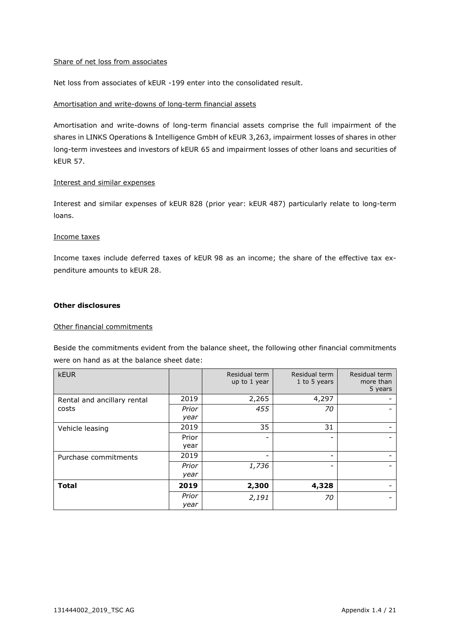#### Share of net loss from associates

Net loss from associates of kEUR -199 enter into the consolidated result.

#### Amortisation and write-downs of long-term financial assets

Amortisation and write-downs of long-term financial assets comprise the full impairment of the shares in LINKS Operations & Intelligence GmbH of kEUR 3,263, impairment losses of shares in other long-term investees and investors of kEUR 65 and impairment losses of other loans and securities of kEUR 57.

#### Interest and similar expenses

Interest and similar expenses of kEUR 828 (prior year: kEUR 487) particularly relate to long-term loans.

#### Income taxes

Income taxes include deferred taxes of kEUR 98 as an income; the share of the effective tax expenditure amounts to kEUR 28.

#### **Other disclosures**

#### Other financial commitments

Beside the commitments evident from the balance sheet, the following other financial commitments were on hand as at the balance sheet date:

| <b>kEUR</b>                 |       | Residual term<br>up to 1 year | Residual term<br>1 to 5 years | Residual term<br>more than<br>5 years |
|-----------------------------|-------|-------------------------------|-------------------------------|---------------------------------------|
| Rental and ancillary rental | 2019  | 2,265                         | 4,297                         |                                       |
| costs                       | Prior | 455                           | 70                            |                                       |
|                             | year  |                               |                               |                                       |
| Vehicle leasing             | 2019  | 35                            | 31                            |                                       |
|                             | Prior | $\overline{\phantom{0}}$      |                               |                                       |
|                             | year  |                               |                               |                                       |
| Purchase commitments        | 2019  | -                             | ٠                             |                                       |
|                             | Prior | 1,736                         |                               |                                       |
|                             | year  |                               |                               |                                       |
| <b>Total</b>                | 2019  | 2,300                         | 4,328                         |                                       |
|                             | Prior | 2,191                         | 70                            |                                       |
|                             | year  |                               |                               |                                       |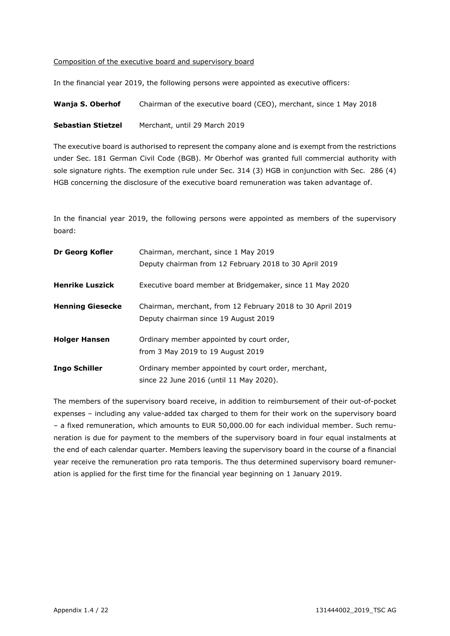#### Composition of the executive board and supervisory board

In the financial year 2019, the following persons were appointed as executive officers:

**Wanja S. Oberhof** Chairman of the executive board (CEO), merchant, since 1 May 2018

**Sebastian Stietzel** Merchant, until 29 March 2019

The executive board is authorised to represent the company alone and is exempt from the restrictions under Sec. 181 German Civil Code (BGB). Mr Oberhof was granted full commercial authority with sole signature rights. The exemption rule under Sec. 314 (3) HGB in conjunction with Sec. 286 (4) HGB concerning the disclosure of the executive board remuneration was taken advantage of.

In the financial year 2019, the following persons were appointed as members of the supervisory board:

| Dr Georg Kofler         | Chairman, merchant, since 1 May 2019<br>Deputy chairman from 12 February 2018 to 30 April 2019     |
|-------------------------|----------------------------------------------------------------------------------------------------|
| <b>Henrike Luszick</b>  | Executive board member at Bridgemaker, since 11 May 2020                                           |
| <b>Henning Giesecke</b> | Chairman, merchant, from 12 February 2018 to 30 April 2019<br>Deputy chairman since 19 August 2019 |
| <b>Holger Hansen</b>    | Ordinary member appointed by court order,<br>from 3 May 2019 to 19 August 2019                     |
| <b>Ingo Schiller</b>    | Ordinary member appointed by court order, merchant,<br>since 22 June 2016 (until 11 May 2020).     |

The members of the supervisory board receive, in addition to reimbursement of their out-of-pocket expenses – including any value-added tax charged to them for their work on the supervisory board – a fixed remuneration, which amounts to EUR 50,000.00 for each individual member. Such remuneration is due for payment to the members of the supervisory board in four equal instalments at the end of each calendar quarter. Members leaving the supervisory board in the course of a financial year receive the remuneration pro rata temporis. The thus determined supervisory board remuneration is applied for the first time for the financial year beginning on 1 January 2019.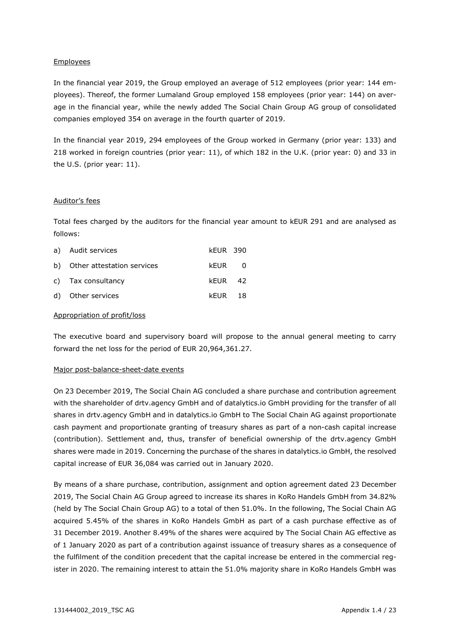#### Employees

In the financial year 2019, the Group employed an average of 512 employees (prior year: 144 employees). Thereof, the former Lumaland Group employed 158 employees (prior year: 144) on average in the financial year, while the newly added The Social Chain Group AG group of consolidated companies employed 354 on average in the fourth quarter of 2019.

In the financial year 2019, 294 employees of the Group worked in Germany (prior year: 133) and 218 worked in foreign countries (prior year: 11), of which 182 in the U.K. (prior year: 0) and 33 in the U.S. (prior year: 11).

#### Auditor's fees

Total fees charged by the auditors for the financial year amount to kEUR 291 and are analysed as follows:

| a) Audit services             | <b>kEUR 390</b> |  |
|-------------------------------|-----------------|--|
| b) Other attestation services | kFUR 0          |  |
| c) Tax consultancy            | kFUR 42         |  |
| d) Other services             | kFUR 18         |  |

#### Appropriation of profit/loss

The executive board and supervisory board will propose to the annual general meeting to carry forward the net loss for the period of EUR 20,964,361.27.

#### Major post-balance-sheet-date events

On 23 December 2019, The Social Chain AG concluded a share purchase and contribution agreement with the shareholder of drtv.agency GmbH and of datalytics.io GmbH providing for the transfer of all shares in drtv.agency GmbH and in datalytics.io GmbH to The Social Chain AG against proportionate cash payment and proportionate granting of treasury shares as part of a non-cash capital increase (contribution). Settlement and, thus, transfer of beneficial ownership of the drtv.agency GmbH shares were made in 2019. Concerning the purchase of the shares in datalytics.io GmbH, the resolved capital increase of EUR 36,084 was carried out in January 2020.

By means of a share purchase, contribution, assignment and option agreement dated 23 December 2019, The Social Chain AG Group agreed to increase its shares in KoRo Handels GmbH from 34.82% (held by The Social Chain Group AG) to a total of then 51.0%. In the following, The Social Chain AG acquired 5.45% of the shares in KoRo Handels GmbH as part of a cash purchase effective as of 31 December 2019. Another 8.49% of the shares were acquired by The Social Chain AG effective as of 1 January 2020 as part of a contribution against issuance of treasury shares as a consequence of the fulfilment of the condition precedent that the capital increase be entered in the commercial register in 2020. The remaining interest to attain the 51.0% majority share in KoRo Handels GmbH was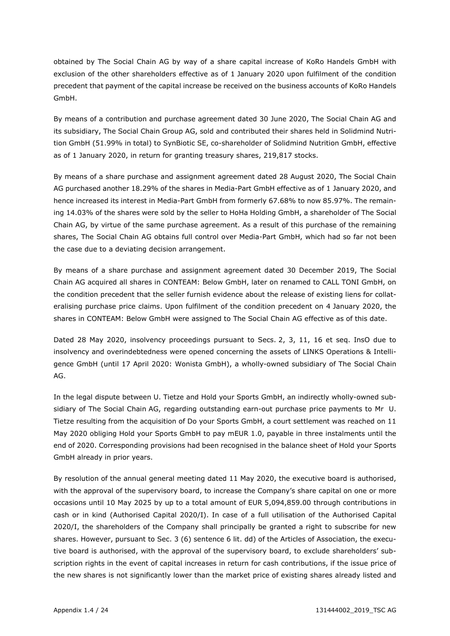obtained by The Social Chain AG by way of a share capital increase of KoRo Handels GmbH with exclusion of the other shareholders effective as of 1 January 2020 upon fulfilment of the condition precedent that payment of the capital increase be received on the business accounts of KoRo Handels GmbH.

By means of a contribution and purchase agreement dated 30 June 2020, The Social Chain AG and its subsidiary, The Social Chain Group AG, sold and contributed their shares held in Solidmind Nutrition GmbH (51.99% in total) to SynBiotic SE, co-shareholder of Solidmind Nutrition GmbH, effective as of 1 January 2020, in return for granting treasury shares, 219,817 stocks.

By means of a share purchase and assignment agreement dated 28 August 2020, The Social Chain AG purchased another 18.29% of the shares in Media-Part GmbH effective as of 1 January 2020, and hence increased its interest in Media-Part GmbH from formerly 67.68% to now 85.97%. The remaining 14.03% of the shares were sold by the seller to HoHa Holding GmbH, a shareholder of The Social Chain AG, by virtue of the same purchase agreement. As a result of this purchase of the remaining shares, The Social Chain AG obtains full control over Media-Part GmbH, which had so far not been the case due to a deviating decision arrangement.

By means of a share purchase and assignment agreement dated 30 December 2019, The Social Chain AG acquired all shares in CONTEAM: Below GmbH, later on renamed to CALL TONI GmbH, on the condition precedent that the seller furnish evidence about the release of existing liens for collateralising purchase price claims. Upon fulfilment of the condition precedent on 4 January 2020, the shares in CONTEAM: Below GmbH were assigned to The Social Chain AG effective as of this date.

Dated 28 May 2020, insolvency proceedings pursuant to Secs. 2, 3, 11, 16 et seq. InsO due to insolvency and overindebtedness were opened concerning the assets of LINKS Operations & Intelligence GmbH (until 17 April 2020: Wonista GmbH), a wholly-owned subsidiary of The Social Chain AG.

In the legal dispute between U. Tietze and Hold your Sports GmbH, an indirectly wholly-owned subsidiary of The Social Chain AG, regarding outstanding earn-out purchase price payments to Mr U. Tietze resulting from the acquisition of Do your Sports GmbH, a court settlement was reached on 11 May 2020 obliging Hold your Sports GmbH to pay mEUR 1.0, payable in three instalments until the end of 2020. Corresponding provisions had been recognised in the balance sheet of Hold your Sports GmbH already in prior years.

By resolution of the annual general meeting dated 11 May 2020, the executive board is authorised, with the approval of the supervisory board, to increase the Company's share capital on one or more occasions until 10 May 2025 by up to a total amount of EUR 5,094,859.00 through contributions in cash or in kind (Authorised Capital 2020/I). In case of a full utilisation of the Authorised Capital 2020/I, the shareholders of the Company shall principally be granted a right to subscribe for new shares. However, pursuant to Sec. 3 (6) sentence 6 lit. dd) of the Articles of Association, the executive board is authorised, with the approval of the supervisory board, to exclude shareholders' subscription rights in the event of capital increases in return for cash contributions, if the issue price of the new shares is not significantly lower than the market price of existing shares already listed and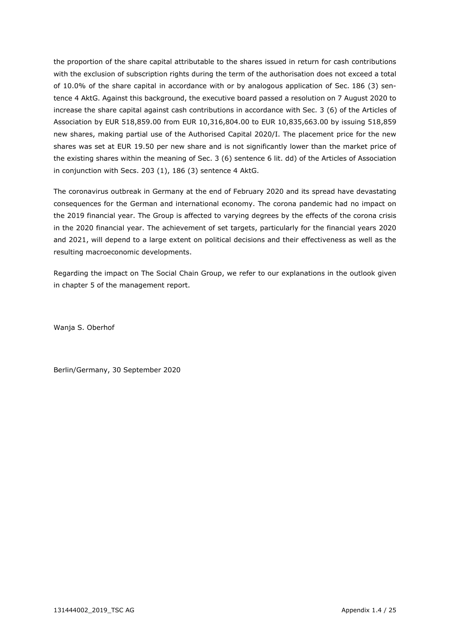the proportion of the share capital attributable to the shares issued in return for cash contributions with the exclusion of subscription rights during the term of the authorisation does not exceed a total of 10.0% of the share capital in accordance with or by analogous application of Sec. 186 (3) sentence 4 AktG. Against this background, the executive board passed a resolution on 7 August 2020 to increase the share capital against cash contributions in accordance with Sec. 3 (6) of the Articles of Association by EUR 518,859.00 from EUR 10,316,804.00 to EUR 10,835,663.00 by issuing 518,859 new shares, making partial use of the Authorised Capital 2020/I. The placement price for the new shares was set at EUR 19.50 per new share and is not significantly lower than the market price of the existing shares within the meaning of Sec. 3 (6) sentence 6 lit. dd) of the Articles of Association in conjunction with Secs. 203 (1), 186 (3) sentence 4 AktG.

The coronavirus outbreak in Germany at the end of February 2020 and its spread have devastating consequences for the German and international economy. The corona pandemic had no impact on the 2019 financial year. The Group is affected to varying degrees by the effects of the corona crisis in the 2020 financial year. The achievement of set targets, particularly for the financial years 2020 and 2021, will depend to a large extent on political decisions and their effectiveness as well as the resulting macroeconomic developments.

Regarding the impact on The Social Chain Group, we refer to our explanations in the outlook given in chapter 5 of the management report.

Wanja S. Oberhof

Berlin/Germany, 30 September 2020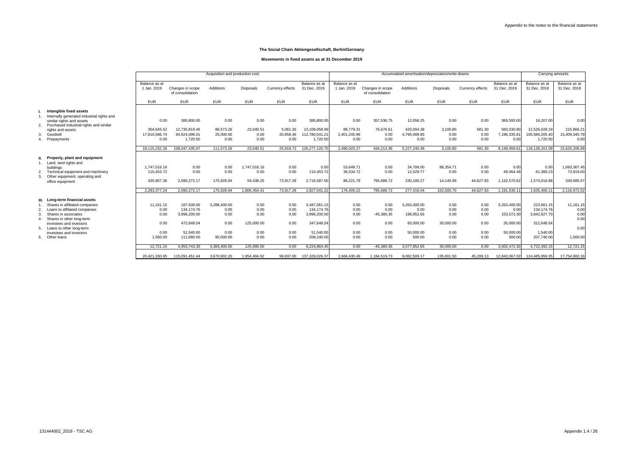|                                                                       | Acquisition and production cost |                                      |              |                  |                  | Accumulated amortisation/depreciation/write-downs |                              |                                      |                    |                  |                  | Carrying amounts              |                               |                               |
|-----------------------------------------------------------------------|---------------------------------|--------------------------------------|--------------|------------------|------------------|---------------------------------------------------|------------------------------|--------------------------------------|--------------------|------------------|------------------|-------------------------------|-------------------------------|-------------------------------|
|                                                                       | Balance as at<br>1 Jan. 2019    | Changes in scope<br>of consolidation | Additions    | <b>Disposals</b> | Currency effects | Balance as at<br>31 Dec. 2019                     | Balance as at<br>1 Jan. 2019 | Changes in scope<br>of consolidation | Additions          | <b>Disposals</b> | Currency effects | Balance as at<br>31 Dec. 2019 | Balance as at<br>31 Dec. 2019 | Balance as at<br>31 Dec. 2018 |
|                                                                       | <b>EUR</b>                      | <b>EUR</b>                           | <b>EUR</b>   | <b>EUR</b>       | <b>EUR</b>       | <b>EUR</b>                                        | <b>EUR</b>                   | <b>EUR</b>                           | <b>EUR</b>         | <b>EUR</b>       | <b>EUR</b>       | <b>EUR</b>                    | <b>EUR</b>                    | <b>EUR</b>                    |
| Intangible fixed assets<br>Internally generated industrial rights and |                                 |                                      |              |                  |                  |                                                   |                              |                                      |                    |                  |                  |                               |                               |                               |
| similar rights and assets                                             | 0.00                            | 385,800.00                           | 0.00         | 0.00             | 0.00             | 385,800.00                                        | 0.00                         | 357,536.75                           | 12,056.25          | 0.00             | 0.00             | 369,593.00                    | 16,207.00                     | 0.00                          |
| Purchased industrial rights and similar                               | 304,645.52                      | 12,735,819.46                        | 86,573.26    | 23,040.51        | 5,061.26         | 13,109,058.99                                     | 88,779.31                    | 76,676.61                            | 420,094.38         | 3,100.80         | 581.30           | 583,030.80                    | 12,526,028.19                 | 215,866.21                    |
| rights and assets<br>Goodwill                                         | 17,810,586.74                   | 94,924,096.01                        | 25,000.00    | 0.00             | 20,858.46        | 112,780,541.21                                    | 2,401,245.96                 | 0.00                                 | 4,795,089.85       | 0.00             | 0.00             | 7,196,335.81                  | 105,584,205.40                | 15,409,340.78                 |
| Prepayments                                                           | 0.00                            | 1,720.50                             | 0.00         | 0.00             | 0.00             | 1,720.50                                          | 0.00                         | 0.00                                 | 0.00               | 0.00             | 0.00             | 0.00                          | 1,720.50                      | 0.00                          |
|                                                                       | 18.115.232.26                   | 108.047.435.97                       | 111,573.26   | 23.040.51        | 25.919.72        | 126.277.120.7                                     | 2.490.025.27                 | 434.213.36                           | 5.227.240.48       | 3.100.80         | 581.30           | 8.148.959.61                  | 118.128.161.09                | 15,625,206.99                 |
| Property, plant and equipment                                         |                                 |                                      |              |                  |                  |                                                   |                              |                                      |                    |                  |                  |                               |                               |                               |
| Land, land rights and<br>buildinas                                    | 1.747.016.16                    | 0.00                                 | 0.00         | 1,747,016.16     | 0.00             | 0.00                                              | 53.648.71                    | 0.00                                 | 34,706.00          | 88,354.71        | 0.00             | 0.00                          | 0.00                          | 1,693,367.45                  |
| Technical equipment and machinery                                     | 110.453.72                      | 0.00                                 | 0.00         | 0.00             | 0.00             | 110,453.72                                        | 36,534.72                    | 0.00                                 | 12,529.77          | 0.00             | 0.00             | 49,064.49                     | 61,389.23                     | 73,919.00                     |
| Other equipment, operating and                                        |                                 |                                      |              |                  |                  |                                                   |                              |                                      |                    |                  |                  |                               |                               |                               |
| office equipment                                                      | 435,907.36                      | 2,090,272.17                         | 175,928.94   | 59,438.25        | 73,917.28        | 2,716,587.50                                      | 86,221.79                    | 795,686.72                           | 230,180.27         | 14,145.99        | 44,627.83        | 1,142,570.62                  | 1,574,016.88                  | 349,685.57                    |
|                                                                       | 2,293,377.24                    | 2,090,272.17                         | 175,928.94   | 1,806,454.41     | 73,917.28        | 2,827,041.22                                      | 176,405.22                   | 795,686.72                           | 277,416.04         | 102,500.70       | 44,627.83        | 1,191,635.11                  | 1,635,406.1                   | 2,116,972.02                  |
| Long-term financial assets                                            |                                 |                                      |              |                  |                  |                                                   |                              |                                      |                    |                  |                  |                               |                               |                               |
| Shares in affiliated companies                                        | 11,161.15                       | 187,500.00                           | 3.288.400.00 | 0.00             | 0.00             | 3,487,061.15                                      | 0.00                         | 0.00                                 | 3,263,400.00       | 0.00             | 0.00             | 3,263,400.00                  | 223,661.15                    | 11,161.15                     |
| Loans to affiliated companies<br>Shares in associates                 | 0.00<br>0.00                    | 134,174.76<br>3,996,200.00           | 0.00<br>0.00 | 0.00<br>0.00     | 0.00<br>0.00     | 134,174.76<br>3,996,200.00                        | 0.00<br>0.00                 | 0.00<br>$-45,380.35$                 | 0.00<br>198,952.65 | 0.00<br>0.00     | 0.00<br>0.00     | 0.00<br>153,572.30            | 134,174.76<br>3,842,627.70    | 0.00<br>0.00                  |
| Shares in other long-term                                             |                                 |                                      |              |                  |                  |                                                   |                              |                                      |                    |                  |                  |                               |                               | 0.00                          |
| investees and investors                                               | 0.00                            | 472,648.54                           | 0.00         | 125,000.00       | 0.00             | 347,648.54                                        | 0.00                         | 0.00                                 | 65,000.00          | 30,000.00        | 0.00             | 35,000.00                     | 312,648.54                    |                               |
| Loans to other long-term<br>investees and investors                   | 0.00                            | 51,540.00                            | 0.00         | 0.00             | 0.00             | 51,540.00                                         | 0.00                         | 0.00                                 | 50,000.00          | 0.00             | 0.00             | 50,000.00                     | 1,540.00                      | 0.00                          |
| Other loans                                                           | 1,560.00                        | 111,680.00                           | 95,000.00    | 0.00             | 0.00             | 208,240.00                                        | 0.00                         | 0.00                                 | 500.00             | 0.00             | 0.00             | 500.00                        | 207,740.00                    | 1,560.00                      |
|                                                                       |                                 |                                      |              |                  |                  |                                                   |                              |                                      |                    |                  |                  |                               |                               |                               |
|                                                                       | 12.721.15                       | 4,953,743.30                         | 3.383.400.00 | 125.000.00       | 0.00             | 8,224,864.45                                      | 0.00                         | $-45.380.35$                         | 3.577.852.65       | 30.000.00        | 0.00             | 3.502.472.30                  | 4.722.392.15                  | 12,721.15                     |
|                                                                       | 20,421,330.65                   | 115,091,451.44                       | 3,670,902.20 | 1,954,494.92     | 99,837.00        | 137,329,026.37                                    | 2,666,430.49                 | 1,184,519.73                         | 9,082,509.17       | 135,601.50       | 45,209.13        | 12,843,067.02                 | 124,485,959.35                | 17,754,900.16                 |
|                                                                       |                                 |                                      |              |                  |                  |                                                   |                              |                                      |                    |                  |                  |                               |                               |                               |

#### **Movements in fixed assets as at 31 December 2019**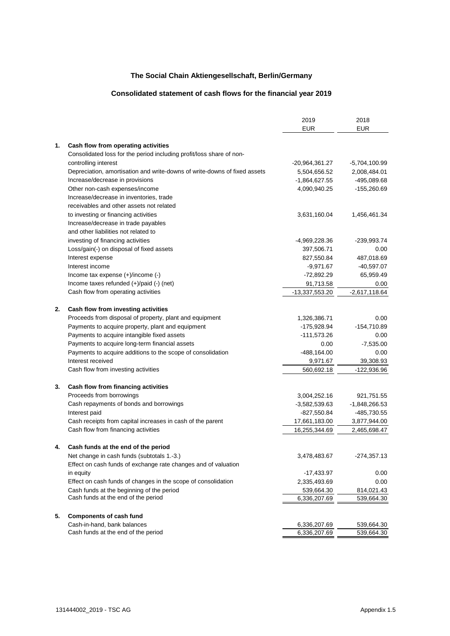### **Consolidated statement of cash flows for the financial year 2019**

|    |                                                                           | 2019            | 2018            |
|----|---------------------------------------------------------------------------|-----------------|-----------------|
|    |                                                                           | <b>EUR</b>      | <b>EUR</b>      |
| 1. | Cash flow from operating activities                                       |                 |                 |
|    | Consolidated loss for the period including profit/loss share of non-      |                 |                 |
|    | controlling interest                                                      | -20,964,361.27  | -5,704,100.99   |
|    | Depreciation, amortisation and write-downs of write-downs of fixed assets | 5,504,656.52    | 2,008,484.01    |
|    | Increase/decrease in provisions                                           | -1,864,627.55   | -495,089.68     |
|    | Other non-cash expenses/income                                            | 4,090,940.25    | -155,260.69     |
|    | Increase/decrease in inventories, trade                                   |                 |                 |
|    | receivables and other assets not related                                  |                 |                 |
|    | to investing or financing activities                                      | 3,631,160.04    | 1,456,461.34    |
|    | Increase/decrease in trade payables                                       |                 |                 |
|    | and other liabilities not related to                                      |                 |                 |
|    | investing of financing activities                                         | -4,969,228.36   | -239,993.74     |
|    | Loss/gain(-) on disposal of fixed assets                                  | 397,506.71      | 0.00            |
|    | Interest expense                                                          | 827,550.84      | 487,018.69      |
|    | Interest income                                                           | $-9,971.67$     | $-40,597.07$    |
|    | Income tax expense $(+)/$ income $(-)$                                    | $-72,892.29$    | 65,959.49       |
|    | Income taxes refunded (+)/paid (-) (net)                                  | 91,713.58       | 0.00            |
|    | Cash flow from operating activities                                       | -13,337,553.20  | $-2,617,118.64$ |
|    |                                                                           |                 |                 |
| 2. | Cash flow from investing activities                                       |                 |                 |
|    | Proceeds from disposal of property, plant and equipment                   | 1,326,386.71    | 0.00            |
|    | Payments to acquire property, plant and equipment                         | $-175,928.94$   | $-154,710.89$   |
|    | Payments to acquire intangible fixed assets                               | $-111,573.26$   | 0.00            |
|    | Payments to acquire long-term financial assets                            | 0.00            | $-7,535.00$     |
|    | Payments to acquire additions to the scope of consolidation               | $-488,164.00$   | 0.00            |
|    | Interest received                                                         | 9,971.67        | 39,308.93       |
|    | Cash flow from investing activities                                       | 560,692.18      | -122,936.96     |
|    |                                                                           |                 |                 |
| 3. | Cash flow from financing activities                                       |                 |                 |
|    | Proceeds from borrowings                                                  | 3,004,252.16    | 921,751.55      |
|    | Cash repayments of bonds and borrowings                                   | $-3,582,539.63$ | $-1,848,266.53$ |
|    | Interest paid                                                             | $-827,550.84$   | -485,730.55     |
|    | Cash receipts from capital increases in cash of the parent                | 17,661,183.00   | 3,877,944.00    |
|    | Cash flow from financing activities                                       | 16,255,344.69   | 2,465,698.47    |
| 4. | Cash funds at the end of the period                                       |                 |                 |
|    | Net change in cash funds (subtotals 1.-3.)                                | 3,478,483.67    | $-274,357.13$   |
|    | Effect on cash funds of exchange rate changes and of valuation            |                 |                 |
|    | in equity                                                                 | $-17,433.97$    | 0.00            |
|    | Effect on cash funds of changes in the scope of consolidation             | 2,335,493.69    | 0.00            |
|    | Cash funds at the beginning of the period                                 | 539,664.30      | 814,021.43      |
|    | Cash funds at the end of the period                                       | 6,336,207.69    | 539,664.30      |
|    |                                                                           |                 |                 |
| 5. | <b>Components of cash fund</b>                                            |                 |                 |
|    | Cash-in-hand, bank balances                                               | 6,336,207.69    | 539,664.30      |
|    | Cash funds at the end of the period                                       | 6,336,207.69    | 539,664.30      |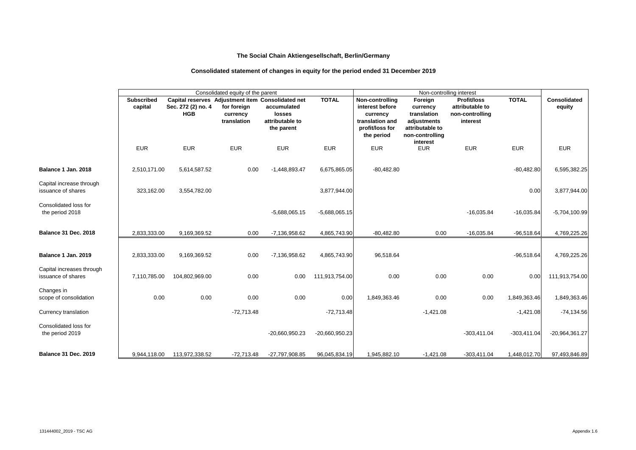# **Consolidated statement of changes in equity for the period ended 31 December 2019**

|                                                 |                              |                                  | Consolidated equity of the parent                                                           |                                                        |                  |                                                                                                    |                                                                                         |                                                                                                  |               |                               |
|-------------------------------------------------|------------------------------|----------------------------------|---------------------------------------------------------------------------------------------|--------------------------------------------------------|------------------|----------------------------------------------------------------------------------------------------|-----------------------------------------------------------------------------------------|--------------------------------------------------------------------------------------------------|---------------|-------------------------------|
|                                                 | <b>Subscribed</b><br>capital | Sec. 272 (2) no. 4<br><b>HGB</b> | Capital reserves Adjustment item Consolidated net<br>for foreign<br>currency<br>translation | accumulated<br>losses<br>attributable to<br>the parent | <b>TOTAL</b>     | Non-controlling<br>interest before<br>currency<br>translation and<br>profit/loss for<br>the period | Foreign<br>currency<br>translation<br>adjustments<br>attributable to<br>non-controlling | Non-controlling interest<br><b>Profit/loss</b><br>attributable to<br>non-controlling<br>interest | <b>TOTAL</b>  | <b>Consolidated</b><br>equity |
|                                                 | <b>EUR</b>                   | <b>EUR</b>                       | <b>EUR</b>                                                                                  | <b>EUR</b>                                             | <b>EUR</b>       | <b>EUR</b>                                                                                         | interest<br><b>EUR</b>                                                                  | <b>EUR</b>                                                                                       | <b>EUR</b>    | <b>EUR</b>                    |
| Balance 1 Jan. 2018                             | 2,510,171.00                 | 5,614,587.52                     | 0.00                                                                                        | $-1,448,893.47$                                        | 6,675,865.05     | $-80,482.80$                                                                                       |                                                                                         |                                                                                                  | $-80,482.80$  | 6,595,382.25                  |
| Capital increase through<br>issuance of shares  | 323,162.00                   | 3,554,782.00                     |                                                                                             |                                                        | 3,877,944.00     |                                                                                                    |                                                                                         |                                                                                                  | 0.00          | 3,877,944.00                  |
| Consolidated loss for<br>the period 2018        |                              |                                  |                                                                                             | $-5,688,065.15$                                        | $-5,688,065.15$  |                                                                                                    |                                                                                         | $-16,035.84$                                                                                     | $-16,035.84$  | $-5,704,100.99$               |
| <b>Balance 31 Dec. 2018</b>                     | 2,833,333.00                 | 9,169,369.52                     | 0.00                                                                                        | -7,136,958.62                                          | 4,865,743.90     | $-80,482.80$                                                                                       | 0.00                                                                                    | $-16,035.84$                                                                                     | $-96,518.64$  | 4,769,225.26                  |
| Balance 1 Jan. 2019                             | 2,833,333.00                 | 9,169,369.52                     | 0.00                                                                                        | -7,136,958.62                                          | 4,865,743.90     | 96,518.64                                                                                          |                                                                                         |                                                                                                  | $-96,518.64$  | 4,769,225.26                  |
| Capital increases through<br>issuance of shares | 7,110,785.00                 | 104,802,969.00                   | 0.00                                                                                        | 0.00                                                   | 111,913,754.00   | 0.00                                                                                               | 0.00                                                                                    | 0.00                                                                                             | 0.00          | 111,913,754.00                |
| Changes in<br>scope of consolidation            | 0.00                         | 0.00                             | 0.00                                                                                        | 0.00                                                   | 0.00             | 1,849,363.46                                                                                       | 0.00                                                                                    | 0.00                                                                                             | 1,849,363.46  | 1,849,363.46                  |
| Currency translation                            |                              |                                  | $-72,713.48$                                                                                |                                                        | $-72,713.48$     |                                                                                                    | $-1,421.08$                                                                             |                                                                                                  | $-1,421.08$   | $-74, 134.56$                 |
| Consolidated loss for<br>the period 2019        |                              |                                  |                                                                                             | $-20,660,950.23$                                       | $-20,660,950.23$ |                                                                                                    |                                                                                         | $-303,411.04$                                                                                    | $-303,411.04$ | -20,964,361.27                |
| <b>Balance 31 Dec. 2019</b>                     | 9,944,118.00                 | 113,972,338.52                   | $-72,713.48$                                                                                | -27,797,908.85                                         | 96,045,834.19    | 1,945,882.10                                                                                       | $-1,421.08$                                                                             | $-303,411.04$                                                                                    | 1,448,012.70  | 97,493,846.89                 |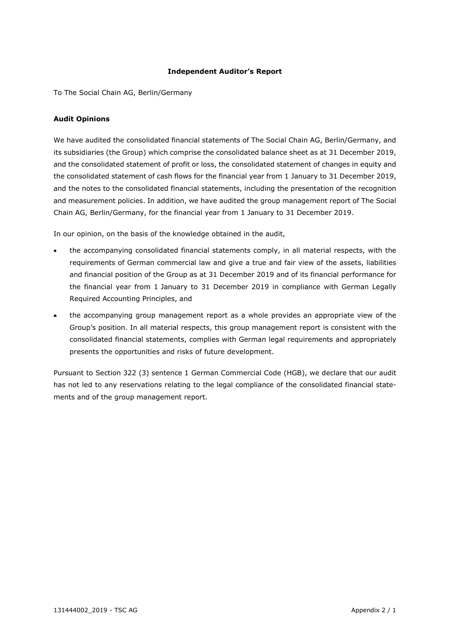#### **Independent Auditor's Report**

To The Social Chain AG, Berlin/Germany

#### **Audit Opinions**

We have audited the consolidated financial statements of The Social Chain AG, Berlin/Germany, and its subsidiaries (the Group) which comprise the consolidated balance sheet as at 31 December 2019, and the consolidated statement of profit or loss, the consolidated statement of changes in equity and the consolidated statement of cash flows for the financial year from 1 January to 31 December 2019, and the notes to the consolidated financial statements, including the presentation of the recognition and measurement policies. In addition, we have audited the group management report of The Social Chain AG, Berlin/Germany, for the financial year from 1 January to 31 December 2019.

In our opinion, on the basis of the knowledge obtained in the audit,

- the accompanying consolidated financial statements comply, in all material respects, with the requirements of German commercial law and give a true and fair view of the assets, liabilities and financial position of the Group as at 31 December 2019 and of its financial performance for the financial year from 1 January to 31 December 2019 in compliance with German Legally Required Accounting Principles, and
- the accompanying group management report as a whole provides an appropriate view of the Group's position. In all material respects, this group management report is consistent with the consolidated financial statements, complies with German legal requirements and appropriately presents the opportunities and risks of future development.

Pursuant to Section 322 (3) sentence 1 German Commercial Code (HGB), we declare that our audit has not led to any reservations relating to the legal compliance of the consolidated financial statements and of the group management report.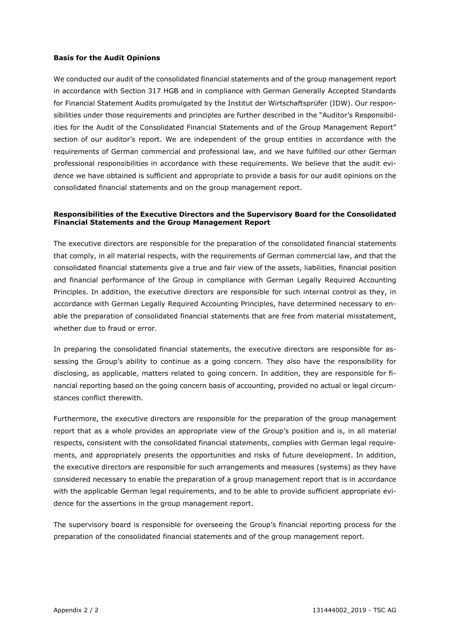#### **Basis for the Audit Opinions**

We conducted our audit of the consolidated financial statements and of the group management report in accordance with Section 317 HGB and in compliance with German Generally Accepted Standards for Financial Statement Audits promulgated by the Institut der Wirtschaftsprüfer (IDW). Our responsibilities under those requirements and principles are further described in the "Auditor's Responsibilities for the Audit of the Consolidated Financial Statements and of the Group Management Report" section of our auditor's report. We are independent of the group entities in accordance with the requirements of German commercial and professional law, and we have fulfilled our other German professional responsibilities in accordance with these requirements. We believe that the audit evidence we have obtained is sufficient and appropriate to provide a basis for our audit opinions on the consolidated financial statements and on the group management report.

#### **Responsibilities of the Executive Directors and the Supervisory Board for the Consolidated Financial Statements and the Group Management Report**

The executive directors are responsible for the preparation of the consolidated financial statements that comply, in all material respects, with the requirements of German commercial law, and that the consolidated financial statements give a true and fair view of the assets, liabilities, financial position and financial performance of the Group in compliance with German Legally Required Accounting Principles. In addition, the executive directors are responsible for such internal control as they, in accordance with German Legally Required Accounting Principles, have determined necessary to enable the preparation of consolidated financial statements that are free from material misstatement, whether due to fraud or error.

In preparing the consolidated financial statements, the executive directors are responsible for assessing the Group's ability to continue as a going concern. They also have the responsibility for disclosing, as applicable, matters related to going concern. In addition, they are responsible for financial reporting based on the going concern basis of accounting, provided no actual or legal circumstances conflict therewith.

Furthermore, the executive directors are responsible for the preparation of the group management report that as a whole provides an appropriate view of the Group's position and is, in all material respects, consistent with the consolidated financial statements, complies with German legal requirements, and appropriately presents the opportunities and risks of future development. In addition, the executive directors are responsible for such arrangements and measures (systems) as they have considered necessary to enable the preparation of a group management report that is in accordance with the applicable German legal requirements, and to be able to provide sufficient appropriate evidence for the assertions in the group management report.

The supervisory board is responsible for overseeing the Group's financial reporting process for the preparation of the consolidated financial statements and of the group management report.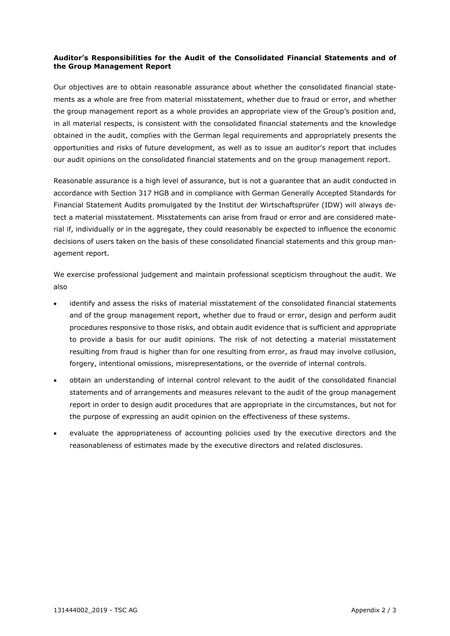#### **Auditor's Responsibilities for the Audit of the Consolidated Financial Statements and of the Group Management Report**

Our objectives are to obtain reasonable assurance about whether the consolidated financial statements as a whole are free from material misstatement, whether due to fraud or error, and whether the group management report as a whole provides an appropriate view of the Group's position and, in all material respects, is consistent with the consolidated financial statements and the knowledge obtained in the audit, complies with the German legal requirements and appropriately presents the opportunities and risks of future development, as well as to issue an auditor's report that includes our audit opinions on the consolidated financial statements and on the group management report.

Reasonable assurance is a high level of assurance, but is not a guarantee that an audit conducted in accordance with Section 317 HGB and in compliance with German Generally Accepted Standards for Financial Statement Audits promulgated by the Institut der Wirtschaftsprüfer (IDW) will always detect a material misstatement. Misstatements can arise from fraud or error and are considered material if, individually or in the aggregate, they could reasonably be expected to influence the economic decisions of users taken on the basis of these consolidated financial statements and this group management report.

We exercise professional judgement and maintain professional scepticism throughout the audit. We also

- identify and assess the risks of material misstatement of the consolidated financial statements and of the group management report, whether due to fraud or error, design and perform audit procedures responsive to those risks, and obtain audit evidence that is sufficient and appropriate to provide a basis for our audit opinions. The risk of not detecting a material misstatement resulting from fraud is higher than for one resulting from error, as fraud may involve collusion, forgery, intentional omissions, misrepresentations, or the override of internal controls.
- obtain an understanding of internal control relevant to the audit of the consolidated financial statements and of arrangements and measures relevant to the audit of the group management report in order to design audit procedures that are appropriate in the circumstances, but not for the purpose of expressing an audit opinion on the effectiveness of these systems.
- evaluate the appropriateness of accounting policies used by the executive directors and the reasonableness of estimates made by the executive directors and related disclosures.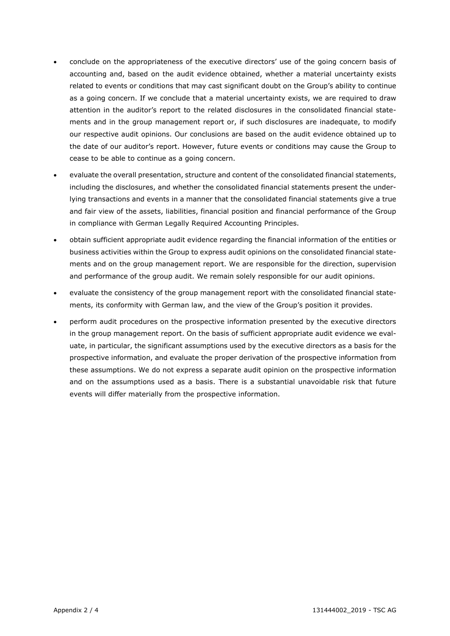- conclude on the appropriateness of the executive directors' use of the going concern basis of accounting and, based on the audit evidence obtained, whether a material uncertainty exists related to events or conditions that may cast significant doubt on the Group's ability to continue as a going concern. If we conclude that a material uncertainty exists, we are required to draw attention in the auditor's report to the related disclosures in the consolidated financial statements and in the group management report or, if such disclosures are inadequate, to modify our respective audit opinions. Our conclusions are based on the audit evidence obtained up to the date of our auditor's report. However, future events or conditions may cause the Group to cease to be able to continue as a going concern.
- evaluate the overall presentation, structure and content of the consolidated financial statements, including the disclosures, and whether the consolidated financial statements present the underlying transactions and events in a manner that the consolidated financial statements give a true and fair view of the assets, liabilities, financial position and financial performance of the Group in compliance with German Legally Required Accounting Principles.
- obtain sufficient appropriate audit evidence regarding the financial information of the entities or business activities within the Group to express audit opinions on the consolidated financial statements and on the group management report. We are responsible for the direction, supervision and performance of the group audit. We remain solely responsible for our audit opinions.
- evaluate the consistency of the group management report with the consolidated financial statements, its conformity with German law, and the view of the Group's position it provides.
- perform audit procedures on the prospective information presented by the executive directors in the group management report. On the basis of sufficient appropriate audit evidence we evaluate, in particular, the significant assumptions used by the executive directors as a basis for the prospective information, and evaluate the proper derivation of the prospective information from these assumptions. We do not express a separate audit opinion on the prospective information and on the assumptions used as a basis. There is a substantial unavoidable risk that future events will differ materially from the prospective information.